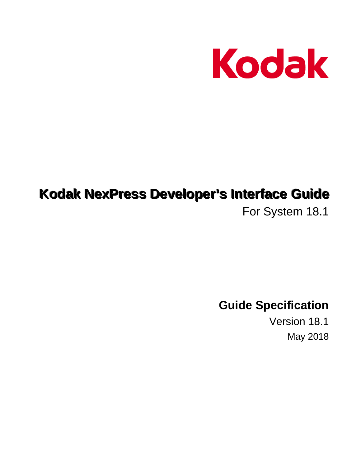

# **Kodak NexPress Developer's Interface Guide**

For System 18.1

**Guide Specification** 

Version 18.1 May 2018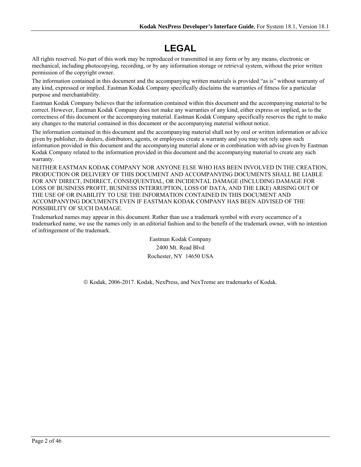# **LEGAL**

All rights reserved. No part of this work may be reproduced or transmitted in any form or by any means, electronic or mechanical, including photocopying, recording, or by any information storage or retrieval system, without the prior written permission of the copyright owner.

The information contained in this document and the accompanying written materials is provided "as is" without warranty of any kind, expressed or implied. Eastman Kodak Company specifically disclaims the warranties of fitness for a particular purpose and merchantability.

Eastman Kodak Company believes that the information contained within this document and the accompanying material to be correct. However, Eastman Kodak Company does not make any warranties of any kind, either express or implied, as to the correctness of this document or the accompanying material. Eastman Kodak Company specifically reserves the right to make any changes to the material contained in this document or the accompanying material without notice.

The information contained in this document and the accompanying material shall not by oral or written information or advice given by publisher, its dealers, distributors, agents, or employees create a warranty and you may not rely upon such information provided in this document and the accompanying material alone or in combination with advise given by Eastman Kodak Company related to the information provided in this document and the accompanying material to create any such warranty.

NEITHER EASTMAN KODAK COMPANY NOR ANYONE ELSE WHO HAS BEEN INVOLVED IN THE CREATION, PRODUCTION OR DELIVERY OF THIS DOCUMENT AND ACCOMPANYING DOCUMENTS SHALL BE LIABLE FOR ANY DIRECT, INDIRECT, CONSEQUENTIAL, OR INCIDENTAL DAMAGE (INCLUDING DAMAGE FOR LOSS OF BUSINESS PROFIT, BUSINESS INTERRUPTION, LOSS OF DATA, AND THE LIKE) ARISING OUT OF THE USE OF OR INABILITY TO USE THE INFORMATION CONTAINED IN THIS DOCUMENT AND ACCOMPANYING DOCUMENTS EVEN IF EASTMAN KODAK COMPANY HAS BEEN ADVISED OF THE POSSIBILITY OF SUCH DAMAGE.

Trademarked names may appear in this document. Rather than use a trademark symbol with every occurrence of a trademarked name, we use the names only in an editorial fashion and to the benefit of the trademark owner, with no intention of infringement of the trademark.

> Eastman Kodak Company 2400 Mt. Read Blvd Rochester, NY 14650 USA

Kodak, 2006-2017. Kodak, NexPress, and NexTreme are trademarks of Kodak.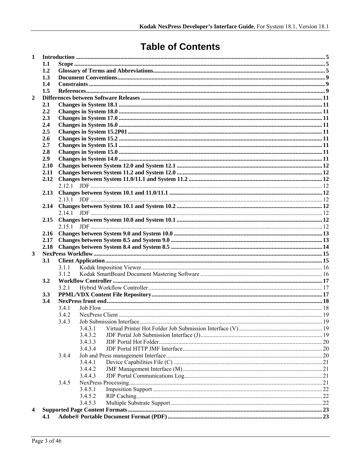# **Table of Contents**

| 1              |            |                |                    |  |  |  |  |  |
|----------------|------------|----------------|--------------------|--|--|--|--|--|
|                | 1.1        |                |                    |  |  |  |  |  |
|                | 1.2        |                |                    |  |  |  |  |  |
|                | 1.3        |                |                    |  |  |  |  |  |
|                | 1.4        |                |                    |  |  |  |  |  |
|                | 1.5        |                |                    |  |  |  |  |  |
| $\overline{2}$ |            |                |                    |  |  |  |  |  |
|                | 2.1        |                |                    |  |  |  |  |  |
|                | 2.2        |                |                    |  |  |  |  |  |
|                | 2.3        |                |                    |  |  |  |  |  |
|                | 2.4<br>2.5 |                |                    |  |  |  |  |  |
|                | 2.6        |                |                    |  |  |  |  |  |
|                | 2.7        |                |                    |  |  |  |  |  |
|                | 2.8        |                |                    |  |  |  |  |  |
|                | 2.9        |                |                    |  |  |  |  |  |
|                | 2.10       |                |                    |  |  |  |  |  |
|                | 2.11       |                |                    |  |  |  |  |  |
|                | 2.12       |                |                    |  |  |  |  |  |
|                |            |                |                    |  |  |  |  |  |
|                | 2.13       |                |                    |  |  |  |  |  |
|                |            | 2.13.1         |                    |  |  |  |  |  |
|                | 2.14       |                |                    |  |  |  |  |  |
|                |            |                |                    |  |  |  |  |  |
|                | 2.15       |                |                    |  |  |  |  |  |
|                |            |                |                    |  |  |  |  |  |
|                |            |                |                    |  |  |  |  |  |
|                | 2.17       |                |                    |  |  |  |  |  |
|                |            |                |                    |  |  |  |  |  |
| 3              |            |                |                    |  |  |  |  |  |
|                | 3.1        |                |                    |  |  |  |  |  |
|                |            | 3.1.1<br>3.1.2 |                    |  |  |  |  |  |
|                | 3.2        |                |                    |  |  |  |  |  |
|                |            | 3.2.1          |                    |  |  |  |  |  |
|                | 3.3        |                |                    |  |  |  |  |  |
|                | 3.4        |                |                    |  |  |  |  |  |
|                |            | 3.4.1          |                    |  |  |  |  |  |
|                |            | 3.4.2          |                    |  |  |  |  |  |
|                |            | 3.4.3          |                    |  |  |  |  |  |
|                |            |                | 3431               |  |  |  |  |  |
|                |            |                | 3.4.3.2            |  |  |  |  |  |
|                |            |                | 3.4.3.3            |  |  |  |  |  |
|                |            |                | 3.4.3.4            |  |  |  |  |  |
|                |            | 3.4.4          |                    |  |  |  |  |  |
|                |            |                | 3.4.4.1            |  |  |  |  |  |
|                |            |                | 3.4.4.2            |  |  |  |  |  |
|                |            |                | 3.4.4.3            |  |  |  |  |  |
|                |            | 3.4.5          |                    |  |  |  |  |  |
|                |            |                | 3.4.5.1<br>3.4.5.2 |  |  |  |  |  |
|                |            |                | 3.4.5.3            |  |  |  |  |  |
| 4              |            |                |                    |  |  |  |  |  |
|                | 4.1        |                |                    |  |  |  |  |  |
|                |            |                |                    |  |  |  |  |  |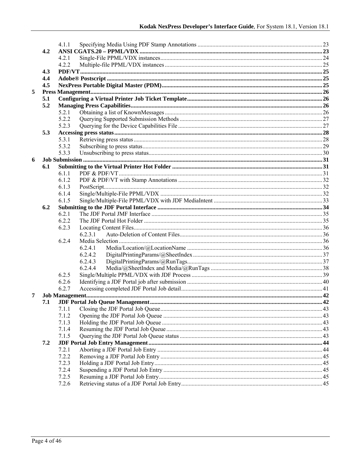|   |     | 4.1.1 |         |  |
|---|-----|-------|---------|--|
|   | 4.2 |       |         |  |
|   |     | 4.2.1 |         |  |
|   |     | 4.2.2 |         |  |
|   | 4.3 |       |         |  |
|   | 4.4 |       |         |  |
|   |     |       |         |  |
|   | 4.5 |       |         |  |
| 5 |     |       |         |  |
|   | 5.1 |       |         |  |
|   | 5.2 |       |         |  |
|   |     | 5.2.1 |         |  |
|   |     | 5.2.2 |         |  |
|   |     | 5.2.3 |         |  |
|   | 5.3 |       |         |  |
|   |     | 5.3.1 |         |  |
|   |     | 5.3.2 |         |  |
|   |     | 5.3.3 |         |  |
| 6 |     |       |         |  |
|   | 6.1 |       |         |  |
|   |     | 6.1.1 |         |  |
|   |     | 6.1.2 |         |  |
|   |     | 6.1.3 |         |  |
|   |     | 6.1.4 |         |  |
|   |     | 6.1.5 |         |  |
|   | 6.2 |       |         |  |
|   |     | 6.2.1 |         |  |
|   |     | 6.2.2 |         |  |
|   |     | 6.2.3 |         |  |
|   |     |       | 6.2.3.1 |  |
|   |     | 6.2.4 |         |  |
|   |     |       | 6.2.4.1 |  |
|   |     |       | 6.2.4.2 |  |
|   |     |       |         |  |
|   |     |       | 6.2.4.3 |  |
|   |     |       | 6.2.4.4 |  |
|   |     | 6.2.5 |         |  |
|   |     | 6.2.6 |         |  |
|   |     | 6.2.7 |         |  |
| 7 |     |       |         |  |
|   | 7.1 |       |         |  |
|   |     | 7.1.1 |         |  |
|   |     | 7.1.2 |         |  |
|   |     | 7.1.3 |         |  |
|   |     | 7.1.4 |         |  |
|   |     | 7.1.5 |         |  |
|   | 7.2 |       |         |  |
|   |     | 7.2.1 |         |  |
|   |     | 7.2.2 |         |  |
|   |     | 7.2.3 |         |  |
|   |     | 7.2.4 |         |  |
|   |     | 7.2.5 |         |  |
|   |     | 7.2.6 |         |  |
|   |     |       |         |  |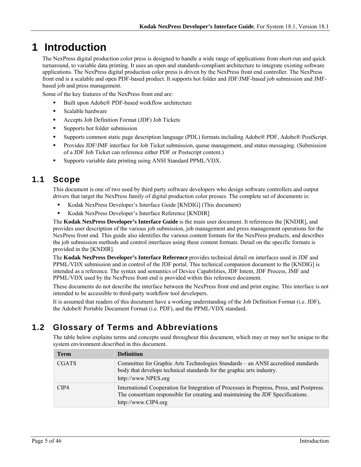# **1 Introduction**

The NexPress digital production color press is designed to handle a wide range of applications from short-run and quick turnaround, to variable data printing. It uses an open and standards-compliant architecture to integrate existing software applications. The NexPress digital production color press is driven by the NexPress front end controller. The NexPress front end is a scalable and open PDF-based product. It supports hot folder and JDF/JMF-based job submission and JMFbased job and press management.

Some of the key features of the NexPress front end are:

- Built upon Adobe® PDF-based workflow architecture
- **Scalable hardware**
- Accepts Job Definition Format (JDF) Job Tickets
- **Supports hot folder submission**
- Supports common static page description language (PDL) formats including Adobe® PDF, Adobe® PostScript.
- **Provides JDF/JMF interface for Job Ticket submission, queue management, and status messaging. (Submission** of a JDF Job Ticket can reference either PDF or Postscript content.)
- Supports variable data printing using ANSI Standard PPML/VDX.

## **1.1 Scope**

This document is one of two used by third party software developers who design software controllers and output drivers that target the NexPress family of digital production color presses. The complete set of documents is:

- Kodak NexPress Developer's Interface Guide [KNDIG] (This document)
- Kodak NexPress Developer's Interface Reference [KNDIR]

The **Kodak NexPress Developer's Interface Guide** is the main user document. It references the [KNDIR], and provides user description of the various job submission, job management and press management operations for the NexPress front end. This guide also identifies the various content formats for the NexPress products, and describes the job submission methods and control interfaces using these content formats. Detail on the specific formats is provided in the [KNDIR].

The **Kodak NexPress Developer's Interface Reference** provides technical detail on interfaces used in JDF and PPML/VDX submission and in control of the JDF portal. This technical companion document to the [KNDIG] is intended as a reference. The syntax and semantics of Device Capabilities, JDF Intent, JDF Process, JMF and PPML/VDX used by the NexPress front end is provided within this reference document.

These documents do not describe the interface between the NexPress front end and print engine. This interface is not intended to be accessible to third-party workflow tool developers.

It is assumed that readers of this document have a working understanding of the Job Definition Format (i.e. JDF), the Adobe® Portable Document Format (i.e. PDF), and the PPML/VDX standard.

## **1.2 Glossary of Terms and Abbreviations**

The table below explains terms and concepts used throughout this document, which may or may not be unique to the system environment described in this document.

| <b>Term</b>  | <b>Definition</b>                                                                                                                                                                                   |
|--------------|-----------------------------------------------------------------------------------------------------------------------------------------------------------------------------------------------------|
| <b>CGATS</b> | Committee for Graphic Arts Technologies Standards – an ANSI accredited standards<br>body that develops technical standards for the graphic arts industry.<br>http://www.NPES.org                    |
| CIP4         | International Cooperation for Integration of Processes in Prepress, Press, and Postpress.<br>The consortium responsible for creating and maintaining the JDF Specifications.<br>http://www.CIP4.org |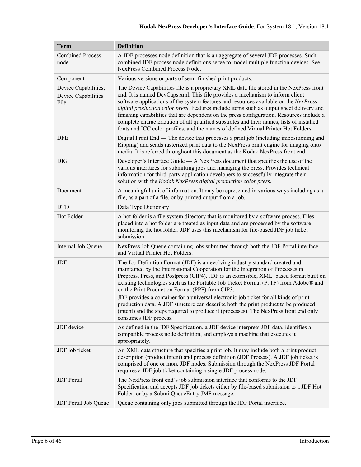| <b>Term</b>                                         | <b>Definition</b>                                                                                                                                                                                                                                                                                                                                                                                                                                                                                                                                                                                                                                                                                      |  |  |  |
|-----------------------------------------------------|--------------------------------------------------------------------------------------------------------------------------------------------------------------------------------------------------------------------------------------------------------------------------------------------------------------------------------------------------------------------------------------------------------------------------------------------------------------------------------------------------------------------------------------------------------------------------------------------------------------------------------------------------------------------------------------------------------|--|--|--|
| <b>Combined Process</b><br>node                     | A JDF processes node definition that is an aggregate of several JDF processes. Such<br>combined JDF process node definitions serve to model multiple function devices. See<br>NexPress Combined Process Node.                                                                                                                                                                                                                                                                                                                                                                                                                                                                                          |  |  |  |
| Component                                           | Various versions or parts of semi-finished print products.                                                                                                                                                                                                                                                                                                                                                                                                                                                                                                                                                                                                                                             |  |  |  |
| Device Capabilities;<br>Device Capabilities<br>File | The Device Capabilities file is a proprietary XML data file stored in the NexPress front<br>end. It is named DevCaps.xml. This file provides a mechanism to inform client<br>software applications of the system features and resources available on the NexPress<br>digital production color press. Features include items such as output sheet delivery and<br>finishing capabilities that are dependent on the press configuration. Resources include a<br>complete characterization of all qualified substrates and their names, lists of installed<br>fonts and ICC color profiles, and the names of defined Virtual Printer Hot Folders.                                                         |  |  |  |
| <b>DFE</b>                                          | Digital Front End — The device that processes a print job (including impositioning and<br>Ripping) and sends rasterized print data to the NexPress print engine for imaging onto<br>media. It is referred throughout this document as the Kodak NexPress front end.                                                                                                                                                                                                                                                                                                                                                                                                                                    |  |  |  |
| <b>DIG</b>                                          | Developer's Interface Guide $-$ A NexPress document that specifies the use of the<br>various interfaces for submitting jobs and managing the press. Provides technical<br>information for third-party application developers to successfully integrate their<br>solution with the Kodak NexPress digital production color press.                                                                                                                                                                                                                                                                                                                                                                       |  |  |  |
| Document                                            | A meaningful unit of information. It may be represented in various ways including as a<br>file, as a part of a file, or by printed output from a job.                                                                                                                                                                                                                                                                                                                                                                                                                                                                                                                                                  |  |  |  |
| <b>DTD</b>                                          | Data Type Dictionary                                                                                                                                                                                                                                                                                                                                                                                                                                                                                                                                                                                                                                                                                   |  |  |  |
| Hot Folder                                          | A hot folder is a file system directory that is monitored by a software process. Files<br>placed into a hot folder are treated as input data and are processed by the software<br>monitoring the hot folder. JDF uses this mechanism for file-based JDF job ticket<br>submission.                                                                                                                                                                                                                                                                                                                                                                                                                      |  |  |  |
| Internal Job Queue                                  | NexPress Job Queue containing jobs submitted through both the JDF Portal interface<br>and Virtual Printer Hot Folders.                                                                                                                                                                                                                                                                                                                                                                                                                                                                                                                                                                                 |  |  |  |
| JDF                                                 | The Job Definition Format (JDF) is an evolving industry standard created and<br>maintained by the International Cooperation for the Integration of Processes in<br>Prepress, Press, and Postpress (CIP4). JDF is an extensible, XML-based format built on<br>existing technologies such as the Portable Job Ticket Format (PJTF) from Adobe® and<br>on the Print Production Format (PPF) from CIP3.<br>JDF provides a container for a universal electronic job ticket for all kinds of print<br>production data. A JDF structure can describe both the print product to be produced<br>(intent) and the steps required to produce it (processes). The NexPress front end only<br>consumes JDF process. |  |  |  |
| JDF device                                          | As defined in the JDF Specification, a JDF device interprets JDF data, identifies a<br>compatible process node definition, and employs a machine that executes it<br>appropriately.                                                                                                                                                                                                                                                                                                                                                                                                                                                                                                                    |  |  |  |
| JDF job ticket                                      | An XML data structure that specifies a print job. It may include both a print product<br>description (product intent) and process definition (JDF Process). A JDF job ticket is<br>comprised of one or more JDF nodes. Submission through the NexPress JDF Portal<br>requires a JDF job ticket containing a single JDF process node.                                                                                                                                                                                                                                                                                                                                                                   |  |  |  |
| <b>JDF</b> Portal                                   | The NexPress front end's job submission interface that conforms to the JDF<br>Specification and accepts JDF job tickets either by file-based submission to a JDF Hot<br>Folder, or by a SubmitQueueEntry JMF message.                                                                                                                                                                                                                                                                                                                                                                                                                                                                                  |  |  |  |
| JDF Portal Job Queue                                | Queue containing only jobs submitted through the JDF Portal interface.                                                                                                                                                                                                                                                                                                                                                                                                                                                                                                                                                                                                                                 |  |  |  |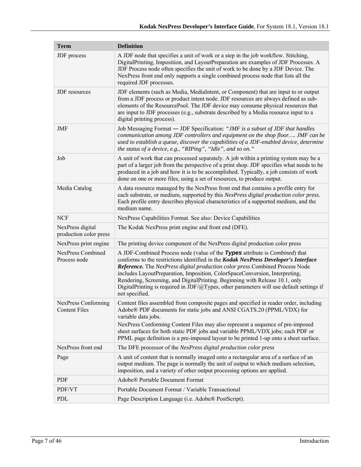| <b>Term</b>                                 | <b>Definition</b>                                                                                                                                                                                                                                                                                                                                                                                                                                                                                                                       |  |  |  |
|---------------------------------------------|-----------------------------------------------------------------------------------------------------------------------------------------------------------------------------------------------------------------------------------------------------------------------------------------------------------------------------------------------------------------------------------------------------------------------------------------------------------------------------------------------------------------------------------------|--|--|--|
| JDF process                                 | A JDF node that specifies a unit of work or a step in the job workflow. Stitching,<br>DigitalPrinting, Imposition, and LayoutPreparation are examples of JDF Processes. A<br>JDF Process node often specifies the unit of work to be done by a JDF Device. The<br>NexPress front end only supports a single combined process node that lists all the<br>required JDF processes.                                                                                                                                                         |  |  |  |
| JDF resources                               | JDF elements (such as Media, MediaIntent, or Component) that are input to or output<br>from a JDF process or product intent node. JDF resources are always defined as sub-<br>elements of the ResourcePool. The JDF device may consume physical resources that<br>are input to JDF processes (e.g., substrate described by a Media resource input to a<br>digital printing process).                                                                                                                                                    |  |  |  |
| JMF                                         | Job Messaging Format - JDF Specification: "JMF is a subset of JDF that handles<br>communication among JDF controllers and equipment on the shop floor JMF can be<br>used to establish a queue, discover the capabilities of a JDF-enabled device, determine<br>the status of a device, e.g., "RIPing", "Idle", and so on."                                                                                                                                                                                                              |  |  |  |
| Job                                         | A unit of work that can processed separately. A job within a printing system may be a<br>part of a larger job from the perspective of a print shop. JDF specifies what needs to be<br>produced in a job and how it is to be accomplished. Typically, a job consists of work<br>done on one or more files, using a set of resources, to produce output.                                                                                                                                                                                  |  |  |  |
| Media Catalog                               | A data resource managed by the NexPress front end that contains a profile entry for<br>each substrate, or medium, supported by this NexPress digital production color press.<br>Each profile entry describes physical characteristics of a supported medium, and the<br>medium name.                                                                                                                                                                                                                                                    |  |  |  |
| <b>NCF</b>                                  | NexPress Capabilities Format. See also: Device Capabilities                                                                                                                                                                                                                                                                                                                                                                                                                                                                             |  |  |  |
| NexPress digital<br>production color press  | The Kodak NexPress print engine and front end (DFE).                                                                                                                                                                                                                                                                                                                                                                                                                                                                                    |  |  |  |
| NexPress print engine                       | The printing device component of the NexPress digital production color press                                                                                                                                                                                                                                                                                                                                                                                                                                                            |  |  |  |
| <b>NexPress Combined</b><br>Process node    | A JDF-Combined Process node (value of the Types attribute is <i>Combined</i> ) that<br>conforms to the restrictions identified in the Kodak NexPress Developer's Interface<br>Reference. The NexPress digital production color press Combined Process Node<br>includes LayoutPreparation, Imposition, ColorSpaceConversion, Interpreting,<br>Rendering, Screening, and DigitalPrinting. Beginning with Release 10.1, only<br>DigitalPrinting is required in JDF/@Types, other parameters will use default settings if<br>not specified. |  |  |  |
| NexPress Conforming<br><b>Content Files</b> | Content files assembled from composite pages and specified in reader order, including<br>Adobe® PDF documents for static jobs and ANSI CGATS.20 (PPML/VDX) for<br>variable data jobs.<br>NexPress Conforming Content Files may also represent a sequence of pre-imposed<br>sheet surfaces for both static PDF jobs and variable PPML/VDX jobs; each PDF or<br>PPML page definition is a pre-imposed layout to be printed 1-up onto a sheet surface.                                                                                     |  |  |  |
| NexPress front end                          | The DFE processor of the NexPress digital production color press                                                                                                                                                                                                                                                                                                                                                                                                                                                                        |  |  |  |
| Page                                        | A unit of content that is normally imaged onto a rectangular area of a surface of an<br>output medium. The page is normally the unit of output to which medium selection,<br>imposition, and a variety of other output processing options are applied.                                                                                                                                                                                                                                                                                  |  |  |  |
| PDF                                         | Adobe® Portable Document Format                                                                                                                                                                                                                                                                                                                                                                                                                                                                                                         |  |  |  |
| PDF/VT                                      | Portable Document Format / Variable Transactional                                                                                                                                                                                                                                                                                                                                                                                                                                                                                       |  |  |  |
| PDL                                         | Page Description Language (i.e. Adobe® PostScript).                                                                                                                                                                                                                                                                                                                                                                                                                                                                                     |  |  |  |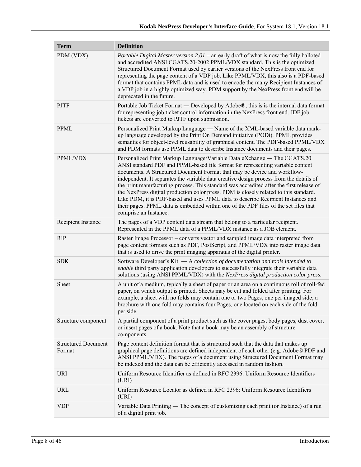| <b>Term</b>                          | <b>Definition</b>                                                                                                                                                                                                                                                                                                                                                                                                                                                                                                                                                                                                                                                                                                           |
|--------------------------------------|-----------------------------------------------------------------------------------------------------------------------------------------------------------------------------------------------------------------------------------------------------------------------------------------------------------------------------------------------------------------------------------------------------------------------------------------------------------------------------------------------------------------------------------------------------------------------------------------------------------------------------------------------------------------------------------------------------------------------------|
| PDM (VDX)                            | Portable Digital Master version 2.01 – an early draft of what is now the fully balloted<br>and accredited ANSI CGATS.20-2002 PPML/VDX standard. This is the optimized<br>Structured Document Format used by earlier versions of the NexPress front end for<br>representing the page content of a VDP job. Like PPML/VDX, this also is a PDF-based<br>format that contains PPML data and is used to encode the many Recipient Instances of<br>a VDP job in a highly optimized way. PDM support by the NexPress front end will be<br>deprecated in the future.                                                                                                                                                                |
| <b>PJTF</b>                          | Portable Job Ticket Format — Developed by Adobe®, this is is the internal data format<br>for representing job ticket control information in the NexPress front end. JDF job<br>tickets are converted to PJTF upon submission.                                                                                                                                                                                                                                                                                                                                                                                                                                                                                               |
| <b>PPML</b>                          | Personalized Print Markup Language — Name of the XML-based variable data mark-<br>up language developed by the Print On Demand initiative (PODi). PPML provides<br>semantics for object-level reusability of graphical content. The PDF-based PPML/VDX<br>and PDM formats use PPML data to describe Instance documents and their pages.                                                                                                                                                                                                                                                                                                                                                                                     |
| PPML/VDX                             | Personalized Print Markup Language/Variable Data eXchange — The CGATS.20<br>ANSI standard PDF and PPML-based file format for representing variable content<br>documents. A Structured Document Format that may be device and workflow-<br>independent. It separates the variable data creative design process from the details of<br>the print manufacturing process. This standard was accredited after the first release of<br>the NexPress digital production color press. PDM is closely related to this standard.<br>Like PDM, it is PDF-based and uses PPML data to describe Recipient Instances and<br>their pages. PPML data is embedded within one of the PDF files of the set files that<br>comprise an Instance. |
| Recipient Instance                   | The pages of a VDP content data stream that belong to a particular recipient.<br>Represented in the PPML data of a PPML/VDX instance as a JOB element.                                                                                                                                                                                                                                                                                                                                                                                                                                                                                                                                                                      |
| <b>RIP</b>                           | Raster Image Processor – converts vector and sampled image data interpreted from<br>page content formats such as PDF, PostScript, and PPML/VDX into raster image data<br>that is used to drive the print imaging apparatus of the digital printer.                                                                                                                                                                                                                                                                                                                                                                                                                                                                          |
| <b>SDK</b>                           | Software Developer's Kit $-$ A collection of documentation and tools intended to<br>enable third party application developers to successfully integrate their variable data<br>solutions (using ANSI PPML/VDX) with the NexPress digital production color press.                                                                                                                                                                                                                                                                                                                                                                                                                                                            |
| Sheet                                | A unit of a medium, typically a sheet of paper or an area on a continuous roll of roll-fed<br>paper, on which output is printed. Sheets may be cut and folded after printing. For<br>example, a sheet with no folds may contain one or two Pages, one per imaged side; a<br>brochure with one fold may contains four Pages, one located on each side of the fold<br>per side.                                                                                                                                                                                                                                                                                                                                               |
| Structure component                  | A partial component of a print product such as the cover pages, body pages, dust cover,<br>or insert pages of a book. Note that a book may be an assembly of structure<br>components.                                                                                                                                                                                                                                                                                                                                                                                                                                                                                                                                       |
| <b>Structured Document</b><br>Format | Page content definition format that is structured such that the data that makes up<br>graphical page definitions are defined independent of each other (e.g. Adobe® PDF and<br>ANSI PPML/VDX). The pages of a document using Structured Document Format may<br>be indexed and the data can be efficiently accessed in random fashion.                                                                                                                                                                                                                                                                                                                                                                                       |
| URI                                  | Uniform Resource Identifier as defined in RFC 2396: Uniform Resource Identifiers<br>(URI)                                                                                                                                                                                                                                                                                                                                                                                                                                                                                                                                                                                                                                   |
| URL                                  | Uniform Resource Locator as defined in RFC 2396: Uniform Resource Identifiers<br>(URI)                                                                                                                                                                                                                                                                                                                                                                                                                                                                                                                                                                                                                                      |
| <b>VDP</b>                           | Variable Data Printing — The concept of customizing each print (or Instance) of a run<br>of a digital print job.                                                                                                                                                                                                                                                                                                                                                                                                                                                                                                                                                                                                            |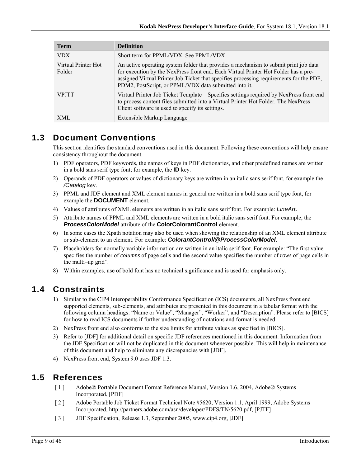| <b>Term</b>                   | <b>Definition</b>                                                                                                                                                                                                                                                                                                               |
|-------------------------------|---------------------------------------------------------------------------------------------------------------------------------------------------------------------------------------------------------------------------------------------------------------------------------------------------------------------------------|
| <b>VDX</b>                    | Short term for PPML/VDX. See PPML/VDX                                                                                                                                                                                                                                                                                           |
| Virtual Printer Hot<br>Folder | An active operating system folder that provides a mechanism to submit print job data<br>for execution by the NexPress front end. Each Virtual Printer Hot Folder has a pre-<br>assigned Virtual Printer Job Ticket that specifies processing requirements for the PDF,<br>PDM2, PostScript, or PPML/VDX data submitted into it. |
| <b>VPITT</b>                  | Virtual Printer Job Ticket Template – Specifies settings required by NexPress front end<br>to process content files submitted into a Virtual Printer Hot Folder. The NexPress<br>Client software is used to specify its settings.                                                                                               |
| XML                           | Extensible Markup Language                                                                                                                                                                                                                                                                                                      |

## **1.3 Document Conventions**

This section identifies the standard conventions used in this document. Following these conventions will help ensure consistency throughout the document.

- 1) PDF operators, PDF keywords, the names of keys in PDF dictionaries, and other predefined names are written in a bold sans serif type font; for example, the **ID** key.
- 2) Operands of PDF operators or values of dictionary keys are written in an italic sans serif font, for example the */Catalog* key.
- 3) PPML and JDF element and XML element names in general are written in a bold sans serif type font, for example the **DOCUMENT** element.
- 4) Values of attributes of XML elements are written in an italic sans serif font. For example: *LineArt.*
- 5) Attribute names of PPML and XML elements are written in a bold italic sans serif font. For example, the *ProcessColorModel* attribute of the **ColorColorantControl** element.
- 6) In some cases the Xpath notation may also be used when showing the relationship of an XML element attribute or sub-element to an element. For example: *ColorantControl/@ProcessColorModel*.
- 7) Placeholders for normally variable information are written in an italic serif font. For example: "The first value specifies the number of *columns* of page cells and the second value specifies the number of *rows* of page cells in the multi–up grid".
- 8) Within examples, use of bold font has no technical significance and is used for emphasis only.

## **1.4 Constraints**

- 1) Similar to the CIP4 Interoperability Conformance Specification (ICS) documents, all NexPress front end supported elements, sub-elements, and attributes are presented in this document in a tabular format with the following column headings: "Name or Value", "Manager", "Worker", and "Description". Please refer to [BICS] for how to read ICS documents if further understanding of notations and format is needed.
- 2) NexPress front end also conforms to the size limits for attribute values as specified in [BICS].
- 3) Refer to [JDF] for additional detail on specific JDF references mentioned in this document. Information from the JDF Specification will not be duplicated in this document whenever possible. This will help in maintenance of this document and help to eliminate any discrepancies with [JDF].
- 4) NexPress front end, System 9.0 uses JDF 1.3.

## **1.5 References**

- [ 1 ] Adobe® Portable Document Format Reference Manual, Version 1.6, 2004, Adobe® Systems Incorporated, [PDF]
- [ 2 ] Adobe Portable Job Ticket Format Technical Note #5620, Version 1.1, April 1999, Adobe Systems Incorporated, http://partners.adobe.com/asn/developer/PDFS/TN/5620.pdf, [PJTF]
- [ 3 ] JDF Specification, Release 1.3, September 2005, www.cip4.org, [JDF]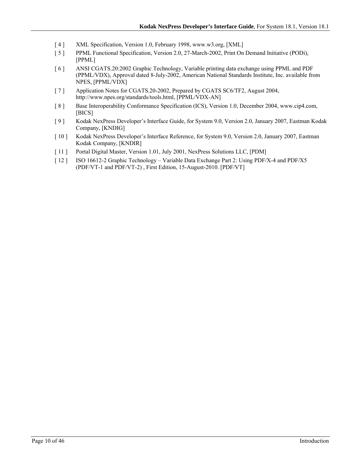- [ 4 ] XML Specification, Version 1.0, February 1998, www.w3.org, [XML]
- [ 5 ] PPML Functional Specification, Version 2.0, 27-March-2002, Print On Demand Initiative (PODi), [PPML]
- [ 6 ] ANSI CGATS.20:2002 Graphic Technology, Variable printing data exchange using PPML and PDF (PPML/VDX), Approval dated 8-July-2002, American National Standards Institute, Inc. available from NPES, [PPML/VDX]
- [ 7 ] Application Notes for CGATS.20-2002, Prepared by CGATS SC6/TF2, August 2004, http://www.npes.org/standards/tools.html, [PPML/VDX-AN]
- [8] Base Interoperability Conformance Specification (ICS), Version 1.0, December 2004, www.cip4.com, [BICS]
- [ 9 ] Kodak NexPress Developer's Interface Guide, for System 9.0, Version 2.0, January 2007, Eastman Kodak Company, [KNDIG]
- [ 10 ] Kodak NexPress Developer's Interface Reference, for System 9.0, Version 2.0, January 2007, Eastman Kodak Company, [KNDIR]
- [ 11 ] Portal Digital Master, Version 1.01, July 2001, NexPress Solutions LLC, [PDM]
- [ 12 ] ISO 16612-2 Graphic Technology Variable Data Exchange Part 2: Using PDF/X-4 and PDF/X5 (PDF/VT-1 and PDF/VT-2) , First Edition, 15-August-2010. [PDF/VT]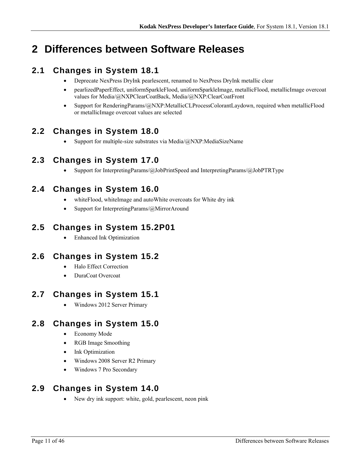# **2 Differences between Software Releases**

## **2.1 Changes in System 18.1**

- Deprecate NexPress DryInk pearlescent, renamed to NexPress DryInk metallic clear
- pearlizedPaperEffect, uniformSparkleFlood, uniformSparkleImage, metallicFlood, metallicImage overcoat values for Media/@NXPClearCoatBack, Media/@NXP:ClearCoatFront
- Support for RenderingParams/@NXP:MetallicCLProcessColorantLaydown, required when metallicFlood or metallicImage overcoat values are selected

## **2.2 Changes in System 18.0**

• Support for multiple-size substrates via Media/ $@NXP$ :MediaSizeName

## **2.3 Changes in System 17.0**

• Support for InterpretingParams/@JobPrintSpeed and InterpretingParams/@JobPTRType

## **2.4 Changes in System 16.0**

- whiteFlood, whiteImage and autoWhite overcoats for White dry ink
- Support for InterpretingParams/@MirrorAround

## **2.5 Changes in System 15.2P01**

Enhanced Ink Optimization

## **2.6 Changes in System 15.2**

- Halo Effect Correction
- DuraCoat Overcoat

## **2.7 Changes in System 15.1**

Windows 2012 Server Primary

## **2.8 Changes in System 15.0**

- Economy Mode
- RGB Image Smoothing
- Ink Optimization
- Windows 2008 Server R2 Primary
- Windows 7 Pro Secondary

## **2.9 Changes in System 14.0**

New dry ink support: white, gold, pearlescent, neon pink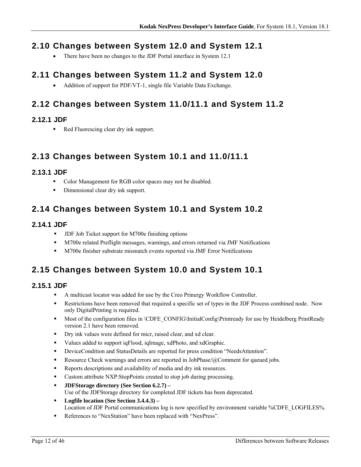## **2.10 Changes between System 12.0 and System 12.1**

There have been no changes to the JDF Portal interface in System 12.1

## **2.11 Changes between System 11.2 and System 12.0**

• Addition of support for PDF/VT-1, single file Variable Data Exchange.

## **2.12 Changes between System 11.0/11.1 and System 11.2**

### **2.12.1 JDF**

Red Fluorescing clear dry ink support.

## **2.13 Changes between System 10.1 and 11.0/11.1**

### **2.13.1 JDF**

- Color Management for RGB color spaces may not be disabled.
- Dimensional clear dry ink support.

## **2.14 Changes between System 10.1 and System 10.2**

### **2.14.1 JDF**

- **-** JDF Job Ticket support for M700e finishing options
- M700e related Preflight messages, warnings, and errors returned via JMF Notifications
- M700e finisher substrate mismatch events reported via JMF Error Notifications

## **2.15 Changes between System 10.0 and System 10.1**

## **2.15.1 JDF**

- A multicast locator was added for use by the Creo Prinergy Workflow Controller.
- **Restrictions have been removed that required a specific set of types in the JDF Process combined node.** Now only DigitalPrinting is required.
- Most of the configuration files in \CDFE\_CONFIG\InitialConfig\Printready for use by Heidelberg PrintReady version 2.1 have been removed.
- Dry ink values were defined for micr, raised clear, and xd clear.
- Values added to support iqFlood, iqImage, xdPhoto, and xdGraphic.
- DeviceCondition and StatusDetails are reported for press condition "NeedsAttention".
- **Resource Check warnings and errors are reported in JobPhase/@Comment for queued jobs.**
- Reports descriptions and availability of media and dry ink resources.
- Custom attribute NXP:StopPoints created to stop job during processing.
- **JDFStorage directory (See Section 6.2.7)**  Use of the JDFStorage directory for completed JDF tickets has been deprecated.
- **Logfile location (See Section 3.4.4.3)**  Location of JDF Portal communications log is now specified by environment variable %CDFE\_LOGFILES%.
- References to "NexStation" have been replaced with "NexPress".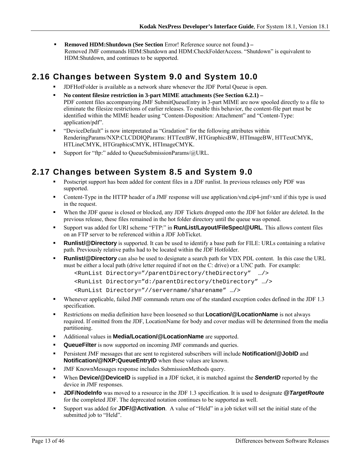**Removed HDM:Shutdown (See Section Error! Reference source not found.) –** Removed JMF commands HDM:Shutdown and HDM:CheckFolderAccess. "Shutdown" is equivalent to HDM:Shutdown, and continues to be supported.

## **2.16 Changes between System 9.0 and System 10.0**

- JDFHotFolder is available as a network share whenever the JDF Portal Queue is open.
- **No content filesize restriction in 3-part MIME attachments (See Section 6.2.1)**  PDF content files accompanying JMF SubmitQueueEntry in 3-part MIME are now spooled directly to a file to eliminate the filesize restrictions of earlier releases. To enable this behavior, the content-file part must be identified within the MIME header using "Content-Disposition: Attachment" and "Content-Type: application/pdf".
- "DeviceDefault" is now interpretated as "Gradation" for the following attributes within RenderingParams/NXP:CLCDDIQParams: HTTextBW, HTGraphicsBW, HTImageBW, HTTextCMYK, HTLineCMYK, HTGraphicsCMYK, HTImageCMYK.
- Support for "ftp:" added to QueueSubmissionParams/@URL.

## **2.17 Changes between System 8.5 and System 9.0**

- Postscript support has been added for content files in a JDF runlist. In previous releases only PDF was supported.
- Content-Type in the HTTP header of a JMF response will use application/vnd.cip4-jmf+xml if this type is used in the request.
- When the JDF queue is closed or blocked, any JDF Tickets dropped onto the JDF hot folder are deleted. In the previous release, these files remained in the hot folder directory until the queue was opened.
- Support was added for URI scheme "FTP:" in **RunList/Layout/FileSpec/@URL**. This allows content files on an FTP server to be referenced within a JDF JobTicket.
- **Runlist/@Directory** is supported. It can be used to identify a base path for FILE: URLs containing a relative path. Previously relative paths had to be located within the JDF Hotfolder.
- **Runlist/@Directory** can also be used to designate a search path for VDX PDL content. In this case the URL must be either a local path (drive letter required if not on the C: drive) or a UNC path. For example:

```
<RunList Directory="/parentDirectory/theDirectory" …/> 
<RunList Directory="d:/parentDirectory/theDirectory" …/> 
<RunList Directory="//servername/sharename" …/>
```
- Whenever applicable, failed JMF commands return one of the standard exception codes defined in the JDF 1.3 specification.
- Restrictions on media definition have been loosened so that **Location/@LocationName** is not always required. If omitted from the JDF, LocationName for body and cover medias will be determined from the media partitioning.
- Additional values in **Media/Location/@LocationName** are supported.
- **QueueFilter** is now supported on incoming JMF commands and queries.
- Persistent JMF messages that are sent to registered subscribers will include **Notification/@JobID** and **Notification/@NXP:QueueEntryID** when these values are known.
- JMF KnownMessages response includes SubmissionMethods query.
- When **Device/@DeviceID** is supplied in a JDF ticket, it is matched against the *SenderID* reported by the device in JMF responses.
- **JDF/NodeInfo** was moved to a resource in the JDF 1.3 specification. It is used to designate *@TargetRoute* for the completed JDF. The deprecated notation continues to be supported as well.
- Support was added for **JDF/@Activation**. A value of "Held" in a job ticket will set the initial state of the submitted job to "Held".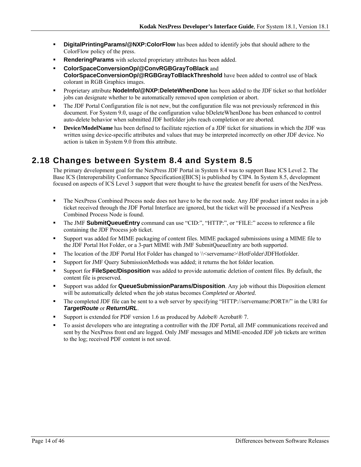- **DigitalPrintingParams/@NXP:ColorFlow** has been added to identify jobs that should adhere to the ColorFlow policy of the press.
- **Rendering Params** with selected proprietary attributes has been added.
- **ColorSpaceConversionOp/@ConvRGBGrayToBlack** and **ColorSpaceConversionOp/@RGBGrayToBlackThreshold** have been added to control use of black colorant in RGB Graphics images.
- Proprietary attribute **NodeInfo/@NXP:DeleteWhenDone** has been added to the JDF ticket so that hotfolder jobs can designate whether to be automatically removed upon completion or abort.
- The JDF Portal Configuration file is not new, but the configuration file was not previously referenced in this document. For System 9.0, usage of the configuration value bDeleteWhenDone has been enhanced to control auto-delete behavior when submitted JDF hotfolder jobs reach completion or are aborted.
- **Device/ModelName** has been defined to facilitate rejection of a JDF ticket for situations in which the JDF was written using device-specific attributes and values that may be interpreted incorrectly on other JDF device. No action is taken in System 9.0 from this attribute.

## **2.18 Changes between System 8.4 and System 8.5**

The primary development goal for the NexPress JDF Portal in System 8.4 was to support Base ICS Level 2. The Base ICS (Interoperability Conformance Specification)[BICS] is published by CIP4. In System 8.5, development focused on aspects of ICS Level 3 support that were thought to have the greatest benefit for users of the NexPress.

- The NexPress Combined Process node does not have to be the root node. Any JDF product intent nodes in a job ticket received through the JDF Portal Interface are ignored, but the ticket will be processed if a NexPress Combined Process Node is found.
- The JMF **SubmitQueueEntry** command can use "CID:", "HTTP:", or "FILE:" access to reference a file containing the JDF Process job ticket.
- Support was added for MIME packaging of content files. MIME packaged submissions using a MIME file to the JDF Portal Hot Folder, or a 3-part MIME with JMF SubmitQueueEntry are both supported.
- The location of the JDF Portal Hot Folder has changed to \\servername>\HotFolder\JDFHotfolder.
- **Support for JMF Query SubmissionMethods was added; it returns the hot folder location.**
- Support for **FileSpec/Disposition** was added to provide automatic deletion of content files. By default, the content file is preserved.
- Support was added for **QueueSubmissionParams/Disposition**. Any job without this Disposition element will be automatically deleted when the job status becomes *Completed* or *Aborted.*
- The completed JDF file can be sent to a web server by specifying "HTTP://servername:PORT#/" in the URI for *TargetRoute* or *ReturnURL*.
- Support is extended for PDF version 1.6 as produced by Adobe® Acrobat® 7.
- To assist developers who are integrating a controller with the JDF Portal, all JMF communications received and sent by the NexPress front end are logged. Only JMF messages and MIME-encoded JDF job tickets are written to the log; received PDF content is not saved.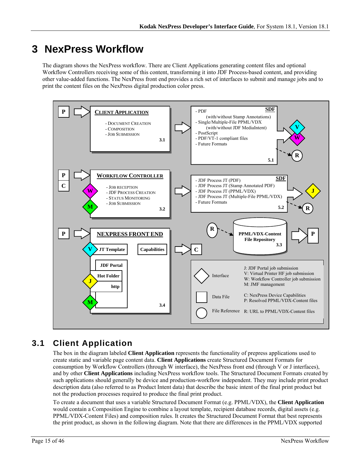# **3 NexPress Workflow**

The diagram shows the NexPress workflow. There are Client Applications generating content files and optional Workflow Controllers receiving some of this content, transforming it into JDF Process-based content, and providing other value-added functions. The NexPress front end provides a rich set of interfaces to submit and manage jobs and to print the content files on the NexPress digital production color press.



## **3.1 Client Application**

The box in the diagram labeled **Client Application** represents the functionality of prepress applications used to create static and variable page content data. **Client Applications** create Structured Document Formats for consumption by Workflow Controllers (through W interface), the NexPress front end (through V or J interfaces), and by other **Client Applications** including NexPress workflow tools. The Structured Document Formats created by such applications should generally be device and production-workflow independent. They may include print product description data (also referred to as Product Intent data) that describe the basic intent of the final print product but not the production processes required to produce the final print product.

To create a document that uses a variable Structured Document Format (e.g. PPML/VDX), the **Client Application** would contain a Composition Engine to combine a layout template, recipient database records, digital assets (e.g. PPML/VDX-Content Files) and composition rules. It creates the Structured Document Format that best represents the print product, as shown in the following diagram. Note that there are differences in the PPML/VDX supported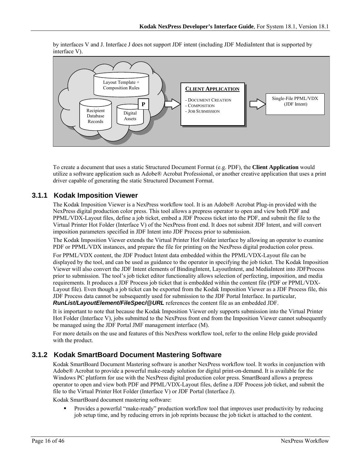by interfaces V and J. Interface J does not support JDF intent (including JDF MediaIntent that is supported by interface V).



To create a document that uses a static Structured Document Format (e.g. PDF), the **Client Application** would utilize a software application such as Adobe® Acrobat Professional, or another creative application that uses a print driver capable of generating the static Structured Document Format.

### **3.1.1 Kodak Imposition Viewer**

The Kodak Imposition Viewer is a NexPress workflow tool. It is an Adobe® Acrobat Plug-in provided with the NexPress digital production color press. This tool allows a prepress operator to open and view both PDF and PPML/VDX-Layout files, define a job ticket, embed a JDF Process ticket into the PDF, and submit the file to the Virtual Printer Hot Folder (Interface V) of the NexPress front end. It does not submit JDF Intent, and will convert imposition parameters specified in JDF Intent into JDF Process prior to submission.

The Kodak Imposition Viewer extends the Virtual Printer Hot Folder interface by allowing an operator to examine PDF or PPML/VDX instances, and prepare the file for printing on the NexPress digital production color press.

For PPML/VDX content, the JDF Product Intent data embedded within the PPML/VDX-Layout file can be displayed by the tool, and can be used as guidance to the operator in specifying the job ticket. The Kodak Imposition Viewer will also convert the JDF Intent elements of BindingIntent, LayoutIntent, and MediaIntent into JDFProcess prior to submission. The tool's job ticket editor functionality allows selection of perfecting, imposition, and media requirements. It produces a JDF Process job ticket that is embedded within the content file (PDF or PPML/VDX-Layout file). Even though a job ticket can be exported from the Kodak Imposition Viewer as a JDF Process file, this JDF Process data cannot be subsequently used for submission to the JDF Portal Interface. In particular, *RunList/LayoutElement/FileSpec/@URL* references the content file as an embedded JDF.

It is important to note that because the Kodak Imposition Viewer only supports submission into the Virtual Printer Hot Folder (Interface V), jobs submitted to the NexPress front end from the Imposition Viewer cannot subsequently be managed using the JDF Portal JMF management interface (M).

For more details on the use and features of this NexPress workflow tool, refer to the online Help guide provided with the product.

### **3.1.2 Kodak SmartBoard Document Mastering Software**

Kodak SmartBoard Document Mastering software is another NexPress workflow tool. It works in conjunction with Adobe® Acrobat to provide a powerful make-ready solution for digital print-on-demand. It is available for the Windows PC platform for use with the NexPress digital production color press. SmartBoard allows a prepress operator to open and view both PDF and PPML/VDX-Layout files, define a JDF Process job ticket, and submit the file to the Virtual Printer Hot Folder (Interface V) or JDF Portal (Interface J).

Kodak SmartBoard document mastering software:

 Provides a powerful "make-ready" production workflow tool that improves user productivity by reducing job setup time, and by reducing errors in job reprints because the job ticket is attached to the content.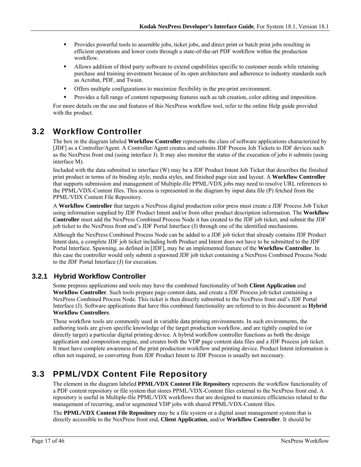- Provides powerful tools to assemble jobs, ticket jobs, and direct print or batch print jobs resulting in efficient operations and lower costs through a state-of-the-art PDF workflow within the production workflow.
- Allows addition of third party software to extend capabilities specific to customer needs while retaining purchase and training investment because of its open architecture and adherence to industry standards such as Acrobat, PDF, and Twain.
- Offers multiple configurations to maximize flexibility in the pre-print environment.
- Provides a full range of content repurposing features such as tab creation, color editing and imposition.

For more details on the use and features of this NexPress workflow tool, refer to the online Help guide provided with the product.

## **3.2 Workflow Controller**

The box in the diagram labeled **Workflow Controller** represents the class of software applications characterized by [JDF] as a Controller/Agent. A Controller/Agent creates and submits JDF Process Job Tickets to JDF devices such as the NexPress front end (using interface J). It may also monitor the status of the execution of jobs it submits (using interface M).

Included with the data submitted to interface (W) may be a JDF Product Intent Job Ticket that describes the finished print product in terms of its binding style, media styles, and finished page size and layout. A **Workflow Controller** that supports submission and management of Multiple-file PPML/VDX jobs may need to resolve URL references to the PPML/VDX-Content files. This access is represented in the diagram by input data file (P) fetched from the PPML/VDX Content File Repository.

A **Workflow Controller** that targets a NexPress digital production color press must create a JDF Process Job Ticket using information supplied by JDF Product Intent and/or from other product description information. The **Workflow Controller** must add the NexPress Combined Process Node it has created to the JDF job ticket, and submit the JDF job ticket to the NexPress front end's JDF Portal Interface (J) through one of the identified mechanisms.

Although the NexPress Combined Process Node can be added to a JDF job ticket that already contains JDF Product Intent data, a complete JDF job ticket including both Product and Intent does not have to be submitted to the JDF Portal Interface. Spawning, as defined in [JDF], may be an implemented feature of the **Workflow Controller**. In this case the controller would only submit a spawned JDF job ticket containing a NexPress Combined Process Node to the JDF Portal Interface (J) for execution.

## **3.2.1 Hybrid Workflow Controller**

Some prepress applications and tools may have the combined functionality of both **Client Application** and **Workflow Controller**. Such tools prepare page content data, and create a JDF Process job ticket containing a NexPress Combined Process Node. This ticket is then directly submitted to the NexPress front end's JDF Portal Interface (J). Software applications that have this combined functionality are referred to in this document as **Hybrid Workflow Controllers**.

These workflow tools are commonly used in variable data printing environments. In such environments, the authoring tools are given specific knowledge of the target production workflow, and are tightly coupled to (or directly target) a particular digital printing device. A hybrid workflow controller functions as both the design application and composition engine, and creates both the VDP page content data files and a JDF Process job ticket. It must have complete awareness of the print production workflow and printing device. Product Intent information is often not required, so converting from JDF Product Intent to JDF Process is usually not necessary.

## **3.3 PPML/VDX Content File Repository**

The element in the diagram labeled **PPML/VDX Content File Repository** represents the workflow functionality of a PDF content repository or file system that stores PPML/VDX-Content files external to the NexPress front end. A repository is useful in Multiple-file PPML/VDX workflows that are designed to maximize efficiencies related to the management of recurring, and/or segmented VDP jobs with shared PPML/VDX-Content files.

The **PPML/VDX Content File Repository** may be a file system or a digital asset management system that is directly accessible to the NexPress front end, **Client Application**, and/or **Workflow Controller**. It should be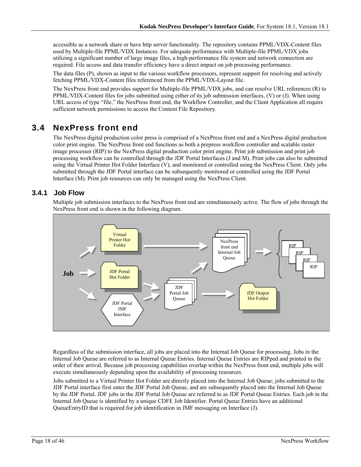accessible as a network share or have http server functionality. The repository contains PPML/VDX-Content files used by Multiple-file PPML/VDX Instances. For adequate performance with Multiple-file PPML/VDX jobs utilizing a significant number of large image files, a high-performance file system and network connection are required. File access and data transfer efficiency have a direct impact on job processing performance.

The data files (P), shown as input to the various workflow processors, represent support for resolving and actively fetching PPML/VDX-Content files referenced from the PPML/VDX-Layout file.

The NexPress front end provides support for Multiple-file PPML/VDX jobs, and can resolve URL references (R) to PPML/VDX-Content files for jobs submitted using either of its job submission interfaces, (V) or (J). When using URL access of type "file," the NexPress front end, the Workflow Controller, and the Client Application all require sufficient network permissions to access the Content File Repository.

## **3.4 NexPress front end**

The NexPress digital production color press is comprised of a NexPress front end and a NexPress digital production color print engine. The NexPress front end functions as both a prepress workflow controller and scalable raster image processor (RIP) to the NexPress digital production color print engine. Print job submission and print job processing workflow can be controlled through the JDF Portal Interfaces (J and M). Print jobs can also be submitted using the Virtual Printer Hot Folder Interface (V), and monitored or controlled using the NexPress Client. Only jobs submitted through the JDF Portal interface can be subsequently monitored or controlled using the JDF Portal Interface (M). Print job resources can only be managed using the NexPress Client.

## **3.4.1 Job Flow**

Multiple job submission interfaces to the NexPress front end are simultaneously active. The flow of jobs through the NexPress front end is shown in the following diagram.



Regardless of the submission interface, all jobs are placed into the Internal Job Queue for processing. Jobs in the Internal Job Queue are referred to as Internal Queue Entries. Internal Queue Entries are RIPped and printed in the order of their arrival. Because job processing capabilities overlap within the NexPress front end, multiple jobs will execute simultaneously depending upon the availability of processing resources.

Jobs submitted to a Virtual Printer Hot Folder are directly placed into the Internal Job Queue; jobs submitted to the JDF Portal interface first enter the JDF Portal Job Queue, and are subsequently placed into the Internal Job Queue by the JDF Portal. JDF jobs in the JDF Portal Job Queue are referred to as JDF Portal Queue Entries. Each job in the Internal Job Queue is identified by a unique CDFE Job Identifier. Portal Queue Entries have an additional QueueEntryID that is required for job identification in JMF messaging on Interface (J).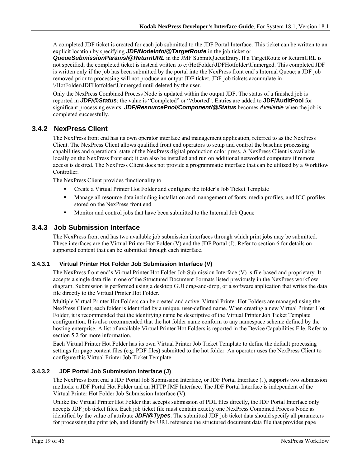A completed JDF ticket is created for each job submitted to the JDF Portal Interface. This ticket can be written to an explicit location by specifying *JDF/NodeInfo/@TargetRoute* in the job ticket or

*QueueSubmissionParams/@ReturnURL* in the JMF SubmitQueueEntry. If a TargetRoute or ReturnURL is not specified, the completed ticket is instead written to c:\HotFolder\JDFHotfolder\Unmerged. This completed JDF is written only if the job has been submitted by the portal into the NexPress front end's Internal Queue; a JDF job removed prior to processing will not produce an output JDF ticket. JDF job tickets accumulate in \\HotFolder\JDFHotfolder\Unmerged until deleted by the user.

Only the NexPress Combined Process Node is updated within the output JDF. The status of a finished job is reported in *JDF/@Status*; the value is "Completed" or "Aborted". Entries are added to **JDF/AuditPool** for significant processing events. *JDF/ResourcePool/Component/@Status* becomes *Available* when the job is completed successfully.

### **3.4.2 NexPress Client**

The NexPress front end has its own operator interface and management application, referred to as the NexPress Client. The NexPress Client allows qualified front end operators to setup and control the baseline processing capabilities and operational state of the NexPress digital production color press. A NexPress Client is available locally on the NexPress front end; it can also be installed and run on additional networked computers if remote access is desired. The NexPress Client does not provide a programmatic interface that can be utilized by a Workflow Controller.

The NexPress Client provides functionality to

- Create a Virtual Printer Hot Folder and configure the folder's Job Ticket Template
- Manage all resource data including installation and management of fonts, media profiles, and ICC profiles stored on the NexPress front end
- Monitor and control jobs that have been submitted to the Internal Job Queue

### **3.4.3 Job Submission Interface**

The NexPress front end has two available job submission interfaces through which print jobs may be submitted. These interfaces are the Virtual Printer Hot Folder (V) and the JDF Portal (J). Refer to section 6 for details on supported content that can be submitted through each interface.

#### **3.4.3.1 Virtual Printer Hot Folder Job Submission Interface (V)**

The NexPress front end's Virtual Printer Hot Folder Job Submission Interface (V) is file-based and proprietary. It accepts a single data file in one of the Structured Document Formats listed previously in the NexPress workflow diagram. Submission is performed using a desktop GUI drag-and-drop, or a software application that writes the data file directly to the Virtual Printer Hot Folder.

Multiple Virtual Printer Hot Folders can be created and active. Virtual Printer Hot Folders are managed using the NexPress Client; each folder is identified by a unique, user-defined name. When creating a new Virtual Printer Hot Folder, it is recommended that the identifying name be descriptive of the Virtual Printer Job Ticket Template configuration. It is also recommended that the hot folder name conform to any namespace scheme defined by the hosting enterprise. A list of available Virtual Printer Hot Folders is reported in the Device Capabilities File. Refer to section 5.2 for more information.

Each Virtual Printer Hot Folder has its own Virtual Printer Job Ticket Template to define the default processing settings for page content files (e.g. PDF files) submitted to the hot folder. An operator uses the NexPress Client to configure this Virtual Printer Job Ticket Template.

#### **3.4.3.2 JDF Portal Job Submission Interface (J)**

The NexPress front end's JDF Portal Job Submission Interface, or JDF Portal Interface (J), supports two submission methods: a JDF Portal Hot Folder and an HTTP JMF Interface. The JDF Portal Interface is independent of the Virtual Printer Hot Folder Job Submission Interface (V).

Unlike the Virtual Printer Hot Folder that accepts submission of PDL files directly, the JDF Portal Interface only accepts JDF job ticket files. Each job ticket file must contain exactly one NexPress Combined Process Node as identified by the value of attribute *JDF/@Types*. The submitted JDF job ticket data should specify all parameters for processing the print job, and identify by URL reference the structured document data file that provides page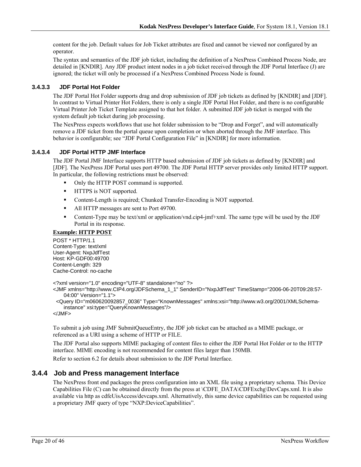content for the job. Default values for Job Ticket attributes are fixed and cannot be viewed nor configured by an operator.

The syntax and semantics of the JDF job ticket, including the definition of a NexPress Combined Process Node, are detailed in [KNDIR]. Any JDF product intent nodes in a job ticket received through the JDF Portal Interface (J) are ignored; the ticket will only be processed if a NexPress Combined Process Node is found.

#### **3.4.3.3 JDF Portal Hot Folder**

The JDF Portal Hot Folder supports drag and drop submission of JDF job tickets as defined by [KNDIR] and [JDF]. In contrast to Virtual Printer Hot Folders, there is only a single JDF Portal Hot Folder, and there is no configurable Virtual Printer Job Ticket Template assigned to that hot folder. A submitted JDF job ticket is merged with the system default job ticket during job processing.

The NexPress expects workflows that use hot folder submission to be "Drop and Forget", and will automatically remove a JDF ticket from the portal queue upon completion or when aborted through the JMF interface. This behavior is configurable; see "JDF Portal Configuration File" in [KNDIR] for more information.

#### **3.4.3.4 JDF Portal HTTP JMF Interface**

The JDF Portal JMF Interface supports HTTP based submission of JDF job tickets as defined by [KNDIR] and [JDF]. The NexPress JDF Portal uses port 49700. The JDF Portal HTTP server provides only limited HTTP support. In particular, the following restrictions must be observed:

- Only the HTTP POST command is supported.
- **IFFLUE** is NOT supported.
- Content-Length is required; Chunked Transfer-Encoding is NOT supported.
- All HTTP messages are sent to Port 49700.
- Content-Type may be text/xml or application/vnd.cip4-jmf+xml. The same type will be used by the JDF Portal in its response.

#### **Example: HTTP POST**

POST \* HTTP/1.1 Content-Type: text/xml User-Agent: NxpJdfTest Host: KP-GDF00:49700 Content-Length: 329 Cache-Control: no-cache

<?xml version="1.0" encoding="UTF-8" standalone="no" ?>

<JMF xmlns="http://www.CIP4.org/JDFSchema\_1\_1" SenderID="NxpJdfTest" TimeStamp="2006-06-20T09:28:57- 04:00" Version="1.1">

 <Query ID="m060620092857\_0036" Type="KnownMessages" xmlns:xsi="http://www.w3.org/2001/XMLSchemainstance" xsi:type="QueryKnownMessages"/>

 $<$ /JMF $>$ 

To submit a job using JMF SubmitQueueEntry, the JDF job ticket can be attached as a MIME package, or referenced as a URI using a scheme of HTTP or FILE.

The JDF Portal also supports MIME packaging of content files to either the JDF Portal Hot Folder or to the HTTP interface. MIME encoding is not recommended for content files larger than 150MB.

Refer to section 6.2 for details about submission to the JDF Portal Interface.

#### **3.4.4 Job and Press management Interface**

The NexPress front end packages the press configuration into an XML file using a proprietary schema. This Device Capabilities File (C) can be obtained directly from the press at \CDFE\_DATA\CDFExchg\DevCaps.xml. It is also available via http as cdfeUisAccess/devcaps.xml. Alternatively, this same device capabilities can be requested using a proprietary JMF query of type "NXP:DeviceCapabilities".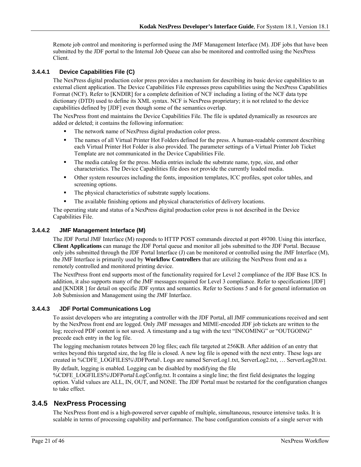Remote job control and monitoring is performed using the JMF Management Interface (M). JDF jobs that have been submitted by the JDF portal to the Internal Job Queue can also be monitored and controlled using the NexPress Client.

#### **3.4.4.1 Device Capabilities File (C)**

The NexPress digital production color press provides a mechanism for describing its basic device capabilities to an external client application. The Device Capabilities File expresses press capabilities using the NexPress Capabilities Format (NCF). Refer to [KNDIR] for a complete definition of NCF including a listing of the NCF data type dictionary (DTD) used to define its XML syntax. NCF is NexPress proprietary; it is not related to the device capabilities defined by [JDF] even though some of the semantics overlap.

The NexPress front end maintains the Device Capabilities File. The file is updated dynamically as resources are added or deleted; it contains the following information:

- The network name of NexPress digital production color press.
- The names of all Virtual Printer Hot Folders defined for the press. A human-readable comment describing each Virtual Printer Hot Folder is also provided. The parameter settings of a Virtual Printer Job Ticket Template are not communicated in the Device Capabilities File.
- The media catalog for the press. Media entries include the substrate name, type, size, and other characteristics. The Device Capabilities file does not provide the currently loaded media.
- Other system resources including the fonts, imposition templates, ICC profiles, spot color tables, and screening options.
- The physical characteristics of substrate supply locations.
- The available finishing options and physical characteristics of delivery locations.

The operating state and status of a NexPress digital production color press is not described in the Device Capabilities File.

#### **3.4.4.2 JMF Management Interface (M)**

The JDF Portal JMF Interface (M) responds to HTTP POST commands directed at port 49700. Using this interface, **Client Applications** can manage the JDF Portal queue and monitor all jobs submitted to the JDF Portal. Because only jobs submitted through the JDF Portal Interface (J) can be monitored or controlled using the JMF Interface (M), the JMF Interface is primarily used by **Workflow Controllers** that are utilizing the NexPress front end as a remotely controlled and monitored printing device.

The NextPress front end supports most of the functionality required for Level 2 compliance of the JDF Base ICS. In addition, it also supports many of the JMF messages required for Level 3 compliance. Refer to specifications [JDF] and [KNDIR ] for detail on specific JDF syntax and semantics. Refer to Sections 5 and 6 for general information on Job Submission and Management using the JMF Interface.

#### **3.4.4.3 JDF Portal Communications Log**

To assist developers who are integrating a controller with the JDF Portal, all JMF communications received and sent by the NexPress front end are logged. Only JMF messages and MIME-encoded JDF job tickets are written to the log; received PDF content is not saved. A timestamp and a tag with the text "INCOMING" or "OUTGOING" precede each entry in the log file.

The logging mechanism rotates between 20 log files; each file targeted at 256KB. After addition of an entry that writes beyond this targeted size, the log file is closed. A new log file is opened with the next entry. These logs are created in %CDFE\_LOGFILES%\JDFPortal\. Logs are named ServerLog1.txt, ServerLog2.txt, … ServerLog20.txt.

By default, logging is enabled. Logging can be disabled by modifying the file %CDFE\_LOGFILES%\JDFPortal\LogConfig.txt. It contains a single line; the first field designates the logging option. Valid values are ALL, IN, OUT, and NONE. The JDF Portal must be restarted for the configuration changes to take effect.

### **3.4.5 NexPress Processing**

The NexPress front end is a high-powered server capable of multiple, simultaneous, resource intensive tasks. It is scalable in terms of processing capability and performance. The base configuration consists of a single server with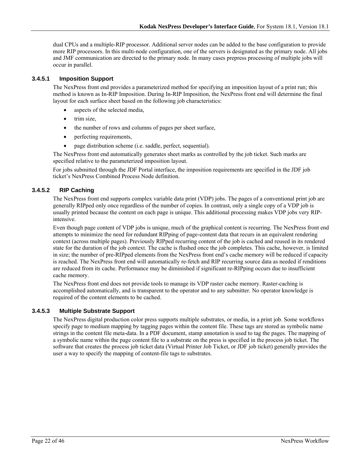dual CPUs and a multiple-RIP processor. Additional server nodes can be added to the base configuration to provide more RIP processors. In this multi-node configuration, one of the servers is designated as the primary node. All jobs and JMF communication are directed to the primary node. In many cases prepress processing of multiple jobs will occur in parallel.

#### **3.4.5.1 Imposition Support**

The NexPress front end provides a parameterized method for specifying an imposition layout of a print run; this method is known as In-RIP Imposition. During In-RIP Imposition, the NexPress front end will determine the final layout for each surface sheet based on the following job characteristics:

- aspects of the selected media,
- trim size,
- the number of rows and columns of pages per sheet surface,
- perfecting requirements,
- page distribution scheme (i.e. saddle, perfect, sequential).

The NexPress front end automatically generates sheet marks as controlled by the job ticket. Such marks are specified relative to the parameterized imposition layout.

For jobs submitted through the JDF Portal interface, the imposition requirements are specified in the JDF job ticket's NexPress Combined Process Node definition.

### **3.4.5.2 RIP Caching**

The NexPress front end supports complex variable data print (VDP) jobs. The pages of a conventional print job are generally RIPped only once regardless of the number of copies. In contrast, only a single copy of a VDP job is usually printed because the content on each page is unique. This additional processing makes VDP jobs very RIPintensive.

Even though page content of VDP jobs is unique, much of the graphical content is recurring. The NexPress front end attempts to minimize the need for redundant RIPping of page-content data that recurs in an equivalent rendering context (across multiple pages). Previously RIPped recurring content of the job is cached and reused in its rendered state for the duration of the job context. The cache is flushed once the job completes. This cache, however, is limited in size; the number of pre-RIPped elements from the NexPress front end's cache memory will be reduced if capacity is reached. The NexPress front end will automatically re-fetch and RIP recurring source data as needed if renditions are reduced from its cache. Performance may be diminished if significant re-RIPping occurs due to insufficient cache memory.

The NexPress front end does not provide tools to manage its VDP raster cache memory. Raster-caching is accomplished automatically, and is transparent to the operator and to any submitter. No operator knowledge is required of the content elements to be cached.

#### **3.4.5.3 Multiple Substrate Support**

The NexPress digital production color press supports multiple substrates, or media, in a print job. Some workflows specify page to medium mapping by tagging pages within the content file. These tags are stored as symbolic name strings in the content file meta-data. In a PDF document, stamp annotation is used to tag the pages. The mapping of a symbolic name within the page content file to a substrate on the press is specified in the process job ticket. The software that creates the process job ticket data (Virtual Printer Job Ticket, or JDF job ticket) generally provides the user a way to specify the mapping of content-file tags to substrates.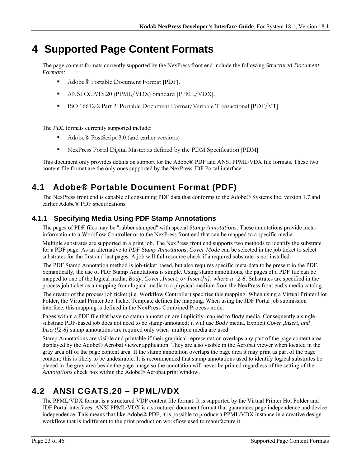# **4 Supported Page Content Formats**

The page content formats currently supported by the NexPress front end include the following *Structured Document Formats:*

- Adobe® Portable Document Format [PDF].
- ANSI CGATS.20 (PPML/VDX) Standard [PPML/VDX].
- ISO 16612-2 Part 2: Portable Document Format/Variable Transactional [PDF/VT]

The *PDL* formats currently supported include:

- Adobe® PostScript 3.0 (and earlier versions)
- NexPress Portal Digital Master as defined by the PDM Specification [PDM]

This document only provides details on support for the Adobe® PDF and ANSI PPML/VDX file formats. These two content file format are the only ones supported by the NexPress JDF Portal interface.

## **4.1 Adobe® Portable Document Format (PDF)**

The NexPress front end is capable of consuming PDF data that conforms to the Adobe® Systems Inc. version 1.7 and earlier Adobe® PDF specifications.

## **4.1.1 Specifying Media Using PDF Stamp Annotations**

The pages of PDF files may be "rubber stamped" with special *Stamp Annotations*. These annotations provide metainformation to a Workflow Controller or to the NexPress front end that can be mapped to a specific media.

Multiple substrates are supported in a print job. The NexPress front end supports two methods to identify the substrate for a PDF page. As an alternative to *PDF Stamp Annotations*, *Cover Mode* can be selected in the job ticket to select substrates for the first and last pages*.* A job will fail resource check if a required substrate is not installed.

The PDF Stamp Annotation method is job-ticket based, but also requires specific meta-data to be present in the PDF. Semantically, the use of PDF Stamp Annotations is simple. Using stamp annotations, the pages of a PDF file can be mapped to one of the logical media: *Body*, *Cover*, *Insert, or Insert[n], where n=2-8*. Substrates are specified in the process job ticket as a mapping from logical media to a physical medium from the NexPress front end's media catalog.

The creator of the process job ticket (i.e. Workflow Controller) specifies this mapping. When using a Virtual Printer Hot Folder, the Virtual Printer Job Ticket Template defines the mapping. When using the JDF Portal job submission interface, this mapping is defined in the NexPress Combined Process node.

Pages within a PDF file that have no stamp annotation are implicitly mapped to *Body* media. Consequently a singlesubstrate PDF-based job does not need to be stamp-annotated; it will use *Body* media. Explicit *Cover* ,*Insert, and Insert*[2-8] stamp annotations are required only when multiple media are used.

Stamp Annotations are visible and printable if their graphical representation overlaps any part of the page content area displayed by the Adobe® Acrobat viewer application. They are also visible in the Acrobat viewer when located in the gray area off of the page content area. If the stamp annotation overlaps the page area it may print as part of the page content; this is likely to be undesirable. It is recommended that stamp annotations used to identify logical substrates be placed in the gray area beside the page image so the annotation will never be printed regardless of the setting of the *Annotations* check box within the Adobe® Acrobat print window.

## **4.2 ANSI CGATS.20 – PPML/VDX**

The PPML/VDX format is a structured VDP content file format. It is supported by the Virtual Printer Hot Folder and JDF Portal interfaces. ANSI PPML/VDX is a structured document format that guarantees page independence and device independence. This means that like Adobe® PDF, it is possible to produce a PPML/VDX instance in a creative design workflow that is indifferent to the print production workflow used to manufacture it.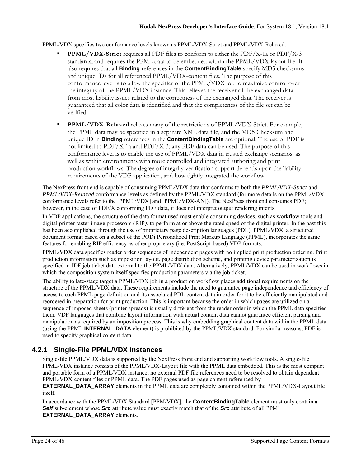#### PPML/VDX specifies two conformance levels known as PPML/VDX-Strict and PPML/VDX-Relaxed.

- **PPML/VDX-Strict** requires all PDF files to conform to either the PDF/X-1a or PDF/X-3 standards, and requires the PPML data to be embedded within the PPML/VDX layout file. It also requires that all **Binding** references in the **ContentBindingTable** specify MD5 checksums and unique IDs for all referenced PPML/VDX-content files. The purpose of this conformance level is to allow the specifier of the PPML/VDX job to maximize control over the integrity of the PPML/VDX instance. This relieves the receiver of the exchanged data from most liability issues related to the correctness of the exchanged data. The receiver is guaranteed that all color data is identified and that the completeness of the file set can be verified.
- **PPML/VDX-Relaxed** relaxes many of the restrictions of PPML/VDX-Strict. For example, the PPML data may be specified in a separate XML data file, and the MD5 Checksum and unique ID in **Binding** references in the **ContentBindingTable** are optional. The use of PDF is not limited to PDF/X-1a and PDF/X-3; any PDF data can be used. The purpose of this conformance level is to enable the use of PPML/VDX data in trusted exchange scenarios, as well as within environments with more controlled and integrated authoring and print production workflows. The degree of integrity verification support depends upon the liability requirements of the VDP application, and how tightly integrated the workflow.

The NexPress front end is capable of consuming PPML/VDX data that conforms to both the *PPML/VDX-Strict* and *PPML/VDX-Relaxed* conformance levels as defined by the PPML/VDX standard (for more details on the PPML/VDX conformance levels refer to the [PPML/VDX] and [PPML/VDX-AN]). The NexPress front end consumes PDF; however, in the case of PDF/X conforming PDF data, it does not interpret output rendering intents.

In VDP applications, the structure of the data format used must enable consuming devices, such as workflow tools and digital printer raster image processors (RIP*)*, to perform at or above the rated speed of the digital printer. In the past this has been accomplished through the use of proprietary page description languages (PDL). PPML/VDX, a structured document format based on a subset of the PODi Personalized Print Markup Language (PPML), incorporates the same features for enabling RIP efficiency as other proprietary (i.e. PostScript-based) VDP formats.

PPML/VDX data specifies reader order sequences of independent pages with no implied print production ordering. Print production information such as imposition layout, page distribution scheme, and printing device parameterization is specified in JDF job ticket data external to the PPML/VDX data. Alternatively, PPML/VDX can be used in workflows in which the composition system itself specifies production parameters via the job ticket.

The ability to late-stage target a PPML/VDX job in a production workflow places additional requirements on the structure of the PPML/VDX data. These requirements include the need to guarantee page independence and efficiency of access to each PPML page definition and its associated PDL content data in order for it to be efficiently manipulated and reordered in preparation for print production. This is important because the order in which pages are utilized on a sequence of imposed sheets (printer spreads) is usually different from the reader order in which the PPML data specifies them. VDP languages that combine layout information with actual content data cannot guarantee efficient parsing and manipulation as required by an imposition process. This is why embedding graphical content data within the PPML data (using the PPML **INTERNAL\_DATA** element) is prohibited by the PPML/VDX standard. For similar reasons, PDF is used to specify graphical content data.

### **4.2.1 Single-File PPML/VDX instances**

Single-file PPML/VDX data is supported by the NexPress front end and supporting workflow tools. A single-file PPML/VDX instance consists of the PPML/VDX-Layout file with the PPML data embedded. This is the most compact and portable form of a PPML/VDX instance; no external PDF file references need to be resolved to obtain dependent PPML/VDX-content files or PPML data. The PDF pages used as page content referenced by

**EXTERNAL\_DATA\_ARRAY** elements in the PPML data are completely contained within the PPML/VDX-Layout file itself.

In accordance with the PPML/VDX Standard [PPM/VDX], the **ContentBindingTable** element must only contain a *Self* sub-element whose *Src* attribute value must exactly match that of the *Src* attribute of all PPML **EXTERNAL\_DATA\_ARRAY** elements.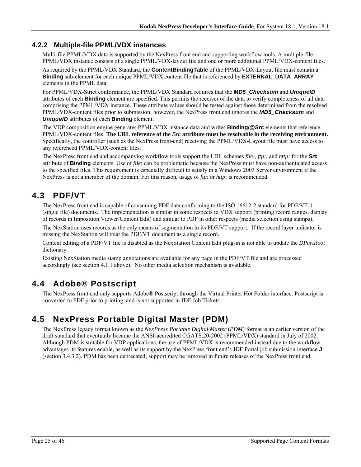### **4.2.2 Multiple-file PPML/VDX instances**

Multi-file PPML/VDX data is supported by the NexPress front end and supporting workflow tools. A multiple-file PPML/VDX instance consists of a single PPML/VDX-layout file and one or more additional PPML/VDX-content files.

As required by the PPML/VDX Standard, the **ContentBindingTable** of the PPML/VDX-Layout file must contain a **Binding** sub-element for each unique PPML/VDX content file that is referenced by **EXTERNAL\_DATA\_ARRAY** elements in the PPML data.

For PPML/VDX-Strict conformance, the PPML/VDX Standard requires that the *MD5\_Checksum* and *UniqueID* attributes of each **Binding** element are specified. This permits the receiver of the data to verify completeness of all data comprising the PPML/VDX instance. These attribute values should be tested against those determined from the resolved PPML/VDX-content files prior to submission; however, the NexPress front end ignores the *MD5\_Checksum* and *UniqueID* attributes of each **Binding** element.

The VDP composition engine generates PPML/VDX instance data and writes **Binding/@***Src* elements that reference PPML/VDX-content files. **The URL reference of the** *Src* **attribute must be resolvable in the receiving environment.** Specifically, the controller (such as the NexPress front-end) receiving the PPML/VDX-Layout file must have access to any referenced PPML/VDX-content files.

The NexPress front end and accompanying workflow tools support the URL schemes *file:, ftp:,* and *http:* for the *Src* attribute of **Binding** elements. Use of *file*: can be problematic because the NexPress must have non-authenticated access to the specified files. This requirement is especially difficult to satisfy in a Windows 2003 Server environment if the NexPress is not a member of the domain. For this reason, usage of *ftp*: or *http*: is recommended.

## **4.3 PDF/VT**

The NexPress front end is capable of consuming PDF data conforming to the ISO 16612-2 standard for PDF/VT-1 (single file) documents. The implementation is similar in some respects to VDX support (printing record ranges, display of records in Imposition Viewer/Content Edit) and similar to PDF in other respects (media selection using stamps).

The NexStation uses records as the only means of segmentation in its PDF/VT support. If the record layer indicator is missing the NexStation will treat the PDF/VT document as a single record.

Content editing of a PDF/VT file is disabled as the NexStation Content Edit plug-in is not able to update the *DPartRoot*  dictionary.

Existing NexStation media stamp annotations are available for any page in the PDF/VT file and are processed accordingly (see section 4.1.1 above). No other media selection mechanism is available.

## **4.4 Adobe® Postscript**

The NexPress front end only supports Adobe® Postscript through the Virtual Printer Hot Folder interface. Postscript is converted to PDF prior to printing, and is not supported in JDF Job Tickets.

## **4.5 NexPress Portable Digital Master (PDM)**

The NexPress legacy format known as the *NexPress Portable Digital Master* (*PDM*) format is an earlier version of the draft standard that eventually became the ANSI-accredited CGATS.20-2002 (PPML/VDX) standard in July of 2002. Although PDM is suitable for VDP applications, the use of PPML/VDX is recommended instead due to the workflow advantages its features enable, as well as its support by the NexPress front end's JDF Portal job submission interface **J** (section 3.4.3.2). PDM has been deprecated; support may be removed in future releases of the NexPress front end.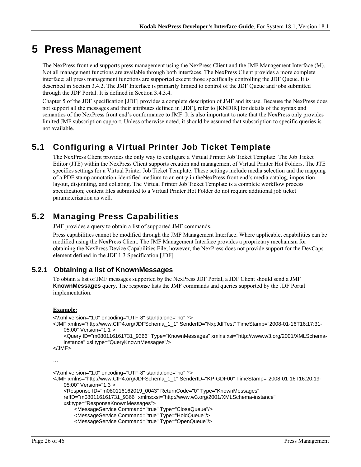# **5 Press Management**

The NexPress front end supports press management using the NexPress Client and the JMF Management Interface (M). Not all management functions are available through both interfaces. The NexPress Client provides a more complete interface; all press management functions are supported except those specifically controlling the JDF Queue. It is described in Section 3.4.2. The JMF Interface is primarily limited to control of the JDF Queue and jobs submitted through the JDF Portal. It is defined in Section 3.4.3.4.

Chapter 5 of the JDF specification [JDF] provides a complete description of JMF and its use. Because the NexPress does not support all the messages and their attributes defined in [JDF], refer to [KNDIR] for details of the syntax and semantics of the NexPress front end's conformance to JMF. It is also important to note that the NexPress only provides limited JMF subscription support. Unless otherwise noted, it should be assumed that subscription to specific queries is not available.

## **5.1 Configuring a Virtual Printer Job Ticket Template**

The NexPress Client provides the only way to configure a Virtual Printer Job Ticket Template. The Job Ticket Editor (JTE) within the NexPress Client supports creation and management of Virtual Printer Hot Folders. The JTE specifies settings for a Virtual Printer Job Ticket Template. These settings include media selection and the mapping of a PDF stamp annotation-identified medium to an entry in theNexPress front end's media catalog, imposition layout, disjointing, and collating. The Virtual Printer Job Ticket Template is a complete workflow process specification; content files submitted to a Virtual Printer Hot Folder do not require additional job ticket parameterization as well.

## **5.2 Managing Press Capabilities**

JMF provides a query to obtain a list of supported JMF commands.

Press capabilities cannot be modified through the JMF Management Interface. Where applicable, capabilities can be modified using the NexPress Client. The JMF Management Interface provides a proprietary mechanism for obtaining the NexPress Device Capabilities File; however, the NexPress does not provide support for the DevCaps element defined in the JDF 1.3 Specification [JDF]

## **5.2.1 Obtaining a list of KnownMessages**

To obtain a list of JMF messages supported by the NexPress JDF Portal, a JDF Client should send a JMF **KnownMessages** query. The response lists the JMF commands and queries supported by the JDF Portal implementation.

#### **Example:**

```
<?xml version="1.0" encoding="UTF-8" standalone="no" ?> 
<JMF xmlns="http://www.CIP4.org/JDFSchema_1_1" SenderID="NxpJdfTest" TimeStamp="2008-01-16T16:17:31-
    05:00" Version="1.1"> 
     <Query ID="m080116161731_9366" Type="KnownMessages" xmlns:xsi="http://www.w3.org/2001/XMLSchema-
    instance" xsi:type="QueryKnownMessages"/> 
</JMF> 
… 
<?xml version="1.0" encoding="UTF-8" standalone="no" ?> 
<JMF xmlns="http://www.CIP4.org/JDFSchema_1_1" SenderID="KP-GDF00" TimeStamp="2008-01-16T16:20:19-
    05:00" Version="1.3"> 
     <Response ID="m080116162019_0043" ReturnCode="0" Type="KnownMessages" 
    refID="m080116161731_9366" xmlns:xsi="http://www.w3.org/2001/XMLSchema-instance"
```

```
xsi:type="ResponseKnownMessages">
```

```
 <MessageService Command="true" Type="CloseQueue"/>
```

```
 <MessageService Command="true" Type="HoldQueue"/>
```

```
 <MessageService Command="true" Type="OpenQueue"/>
```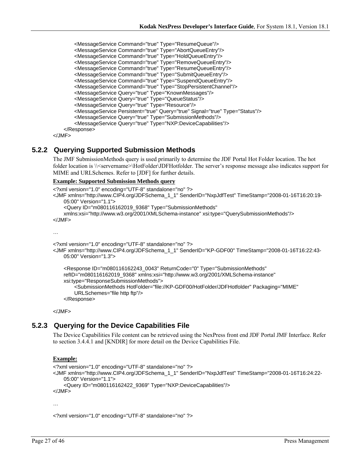```
 <MessageService Command="true" Type="ResumeQueue"/> 
 <MessageService Command="true" Type="AbortQueueEntry"/> 
 <MessageService Command="true" Type="HoldQueueEntry"/> 
 <MessageService Command="true" Type="RemoveQueueEntry"/> 
 <MessageService Command="true" Type="ResumeQueueEntry"/> 
 <MessageService Command="true" Type="SubmitQueueEntry"/> 
 <MessageService Command="true" Type="SuspendQueueEntry"/> 
 <MessageService Command="true" Type="StopPersistentChannel"/> 
        <MessageService Query="true" Type="KnownMessages"/> 
        <MessageService Query="true" Type="QueueStatus"/> 
        <MessageService Query="true" Type="Resource"/> 
        <MessageService Persistent="true" Query="true" Signal="true" Type="Status"/> 
        <MessageService Query="true" Type="SubmissionMethods"/> 
        <MessageService Query="true" Type="NXP:DeviceCapabilities"/> 
    </Response>
```
</JMF>

#### **5.2.2 Querying Supported Submission Methods**

The JMF SubmissionMethods query is used primarily to determine the JDF Portal Hot Folder location. The hot folder location is \\<servername>\HotFolder\JDFHotfolder. The server's response message also indicates support for MIME and URLSchemes. Refer to [JDF] for further details.

#### **Example: Supported Submission Methods query**

```
<?xml version="1.0" encoding="UTF-8" standalone="no" ?> 
<JMF xmlns="http://www.CIP4.org/JDFSchema_1_1" SenderID="NxpJdfTest" TimeStamp="2008-01-16T16:20:19-
    05:00" Version="1.1"> 
     <Query ID="m080116162019_9368" Type="SubmissionMethods" 
   xmlns:xsi="http://www.w3.org/2001/XMLSchema-instance" xsi:type="QuerySubmissionMethods"/> 
</JMF> 
… 
<?xml version="1.0" encoding="UTF-8" standalone="no" ?> 
<JMF xmlns="http://www.CIP4.org/JDFSchema_1_1" SenderID="KP-GDF00" TimeStamp="2008-01-16T16:22:43-
   05:00" Version="1.3">
```

```
 <Response ID="m080116162243_0043" ReturnCode="0" Type="SubmissionMethods" 
refID="m080116162019_9368" xmlns:xsi="http://www.w3.org/2001/XMLSchema-instance" 
xsi:type="ResponseSubmissionMethods"> 
    <SubmissionMethods HotFolder="file://KP-GDF00/HotFolder/JDFHotfolder" Packaging="MIME" 
    URLSchemes="file http ftp"/> 
 </Response>
```
</JMF>

### **5.2.3 Querying for the Device Capabilities File**

The Device Capabilities File content can be retrieved using the NexPress front end JDF Portal JMF Interface. Refer to section 3.4.4.1 and [KNDIR] for more detail on the Device Capabilities File.

#### **Example:**

```
<?xml version="1.0" encoding="UTF-8" standalone="no" ?> 
<JMF xmlns="http://www.CIP4.org/JDFSchema_1_1" SenderID="NxpJdfTest" TimeStamp="2008-01-16T16:24:22-
   05:00" Version="1.1"> 
     <Query ID="m080116162422_9369" Type="NXP:DeviceCapabilities"/> 
</JMF>
```
…

<?xml version="1.0" encoding="UTF-8" standalone="no" ?>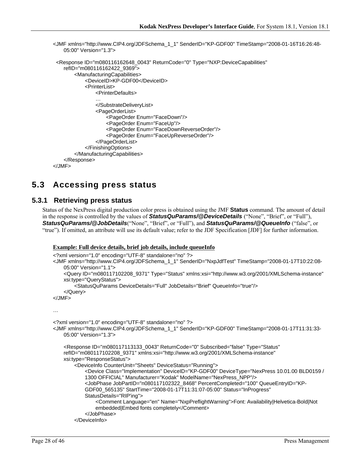```
<JMF xmlns="http://www.CIP4.org/JDFSchema_1_1" SenderID="KP-GDF00" TimeStamp="2008-01-16T16:26:48-
   05:00" Version="1.3"> 
  <Response ID="m080116162648_0043" ReturnCode="0" Type="NXP:DeviceCapabilities" 
    refID="m080116162422_9369"> 
         <ManufacturingCapabilities> 
             <DeviceID>KP-GDF00</DeviceID> 
            <PrinterList> 
                <PrinterDefaults> 
                … 
                </SubstrateDeliveryList> 
                <PageOrderList> 
                    <PageOrder Enum="FaceDown"/> 
                    <PageOrder Enum="FaceUp"/> 
                    <PageOrder Enum="FaceDownReverseOrder"/> 
                    <PageOrder Enum="FaceUpReverseOrder"/> 
                </PageOrderList> 
            </FinishingOptions> 
        </ManufacturingCapabilities> 
    </Response> 
</JMF>
```
## **5.3 Accessing press status**

### **5.3.1 Retrieving press status**

Status of the NexPress digital production color press is obtained using the JMF **Status** command. The amount of detail in the response is controlled by the values of *StatusQuParams/@DeviceDetails* ("None", "Brief", or "Full"), *StatusQuParams/@JobDetails*("None", "Brief", or "Full"), and *StatusQuParams/@QueueInfo* ("false", or "true"). If omitted, an attribute will use its default value; refer to the JDF Specification [JDF] for further information.

#### **Example: Full device details, brief job details, include queueInfo**

```
<?xml version="1.0" encoding="UTF-8" standalone="no" ?> 
<JMF xmlns="http://www.CIP4.org/JDFSchema_1_1" SenderID="NxpJdfTest" TimeStamp="2008-01-17T10:22:08-
   05:00" Version="1.1"> 
     <Query ID="m080117102208_9371" Type="Status" xmlns:xsi="http://www.w3.org/2001/XMLSchema-instance" 
   xsi:type="QueryStatus"> 
         <StatusQuParams DeviceDetails="Full" JobDetails="Brief" QueueInfo="true"/> 
     </Query> 
</JMF> 
… 
<?xml version="1.0" encoding="UTF-8" standalone="no" ?> 
<JMF xmlns="http://www.CIP4.org/JDFSchema_1_1" SenderID="KP-GDF00" TimeStamp="2008-01-17T11:31:33-
   05:00" Version="1.3"> 
     <Response ID="m080117113133_0043" ReturnCode="0" Subscribed="false" Type="Status" 
   refID="m080117102208_9371" xmlns:xsi="http://www.w3.org/2001/XMLSchema-instance" 
   xsi:type="ResponseStatus"> 
         <DeviceInfo CounterUnit="Sheets" DeviceStatus="Running"> 
            <Device Class="Implementation" DeviceID="KP-GDF00" DeviceType="NexPress 10.01.00 BLD0159 / 
            1300 OFFICIAL" Manufacturer="Kodak" ModelName="NexPress_NPP"/> 
            <JobPhase JobPartID="n080117102322_8468" PercentCompleted="100" QueueEntryID="KP-
            GDF00_565135" StartTime="2008-01-17T11:31:07-05:00" Status="InProgress" 
            StatusDetails="RIP'ing"> 
                <Comment Language="en" Name="NxpPreflightWarning">Font: Availability|Helvetica-Bold|Not 
                embedded|Embed fonts completely</Comment> 
             </JobPhase> 
         </DeviceInfo>
```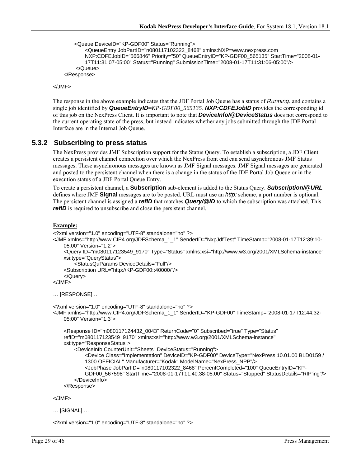```
 <Queue DeviceID="KP-GDF00" Status="Running">
```

```
<QueueEntry JobPartID="n080117102322_8468" xmlns:NXP=www.nexpress.com 
        NXP:CDFEJobID="566846" Priority="50" QueueEntryID="KP-GDF00_565135" StartTime="2008-01-
        17T11:31:07-05:00" Status="Running" SubmissionTime="2008-01-17T11:31:06-05:00"/> 
     </Queue> 
 </Response>
```
</JMF>

The response in the above example indicates that the JDF Portal Job Queue has a status of *Running*, and contains a single job identified by *QueueEntryID*=*KP-GDF00\_565135*. *NXP:CDFEJobID* provides the corresponding id of this job on the NexPress Client. It is important to note that *DeviceInfo/@DeviceStatus* does not correspond to the current operating state of the press, but instead indicates whether any jobs submitted through the JDF Portal Interface are in the Internal Job Queue.

#### **5.3.2 Subscribing to press status**

The NexPress provides JMF Subscription support for the Status Query. To establish a subscription, a JDF Client creates a persistent channel connection over which the NexPress front end can send asynchronous JMF Status messages. These asynchronous messages are known as JMF Signal messages. JMF Signal messages are generated and posted to the persistent channel when there is a change in the status of the JDF Portal Job Queue or in the execution status of a JDF Portal Queue Entry.

To create a persistent channel, a **Subscription** sub-element is added to the Status Query. *Subscription/@URL* defines where JMF **Signal** messages are to be posted. URL must use an *http:* scheme, a port number is optional. The persistent channel is assigned a *refID* that matches **Query/@ID** to which the subscription was attached. This *refID* is required to unsubscribe and close the persistent channel.

#### **Example:**

```
<?xml version="1.0" encoding="UTF-8" standalone="no" ?> 
<JMF xmlns="http://www.CIP4.org/JDFSchema_1_1" SenderID="NxpJdfTest" TimeStamp="2008-01-17T12:39:10-
    05:00" Version="1.2"> 
     <Query ID="m080117123549_9170" Type="Status" xmlns:xsi="http://www.w3.org/2001/XMLSchema-instance" 
    xsi:type="QueryStatus"> 
         <StatusQuParams DeviceDetails="Full"/> 
     <Subscription URL="http://KP-GDF00::40000/"/> 
     </Query> 
</JMF> 
… [RESPONSE] … 
<?xml version="1.0" encoding="UTF-8" standalone="no" ?> 
<JMF xmlns="http://www.CIP4.org/JDFSchema_1_1" SenderID="KP-GDF00" TimeStamp="2008-01-17T12:44:32-
    05:00" Version="1.3"> 
     <Response ID="m080117124432_0043" ReturnCode="0" Subscribed="true" Type="Status"
```

```
refID="m080117123549_9170" xmlns:xsi="http://www.w3.org/2001/XMLSchema-instance" 
xsi:type="ResponseStatus"> 
     <DeviceInfo CounterUnit="Sheets" DeviceStatus="Running"> 
        <Device Class="Implementation" DeviceID="KP-GDF00" DeviceType="NexPress 10.01.00 BLD0159 / 
        1300 OFFICIAL" Manufacturer="Kodak" ModelName="NexPress_NPP"/> 
        <JobPhase JobPartID="n080117102322_8468" PercentCompleted="100" QueueEntryID="KP-
        GDF00_567598" StartTime="2008-01-17T11:40:38-05:00" Status="Stopped" StatusDetails="RIP'ing"/> 
     </DeviceInfo> 
 </Response>
```
</JMF>

… [SIGNAL] …

<?xml version="1.0" encoding="UTF-8" standalone="no" ?>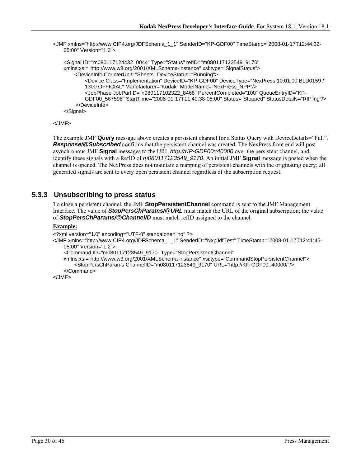<JMF xmlns="http://www.CIP4.org/JDFSchema\_1\_1" SenderID="KP-GDF00" TimeStamp="2008-01-17T12:44:32- 05:00" Version="1.3">

```
 <Signal ID="m080117124432_0044" Type="Status" refID="m080117123549_9170" 
xmlns:xsi="http://www.w3.org/2001/XMLSchema-instance" xsi:type="SignalStatus"> 
     <DeviceInfo CounterUnit="Sheets" DeviceStatus="Running"> 
        <Device Class="Implementation" DeviceID="KP-GDF00" DeviceType="NexPress 10.01.00 BLD0159 / 
        1300 OFFICIAL" Manufacturer="Kodak" ModelName="NexPress_NPP"/> 
        <JobPhase JobPartID="n080117102322_8468" PercentCompleted="100" QueueEntryID="KP-
        GDF00_567598" StartTime="2008-01-17T11:40:38-05:00" Status="Stopped" StatusDetails="RIP'ing"/> 
     </DeviceInfo> 
 </Signal>
```

```
</JMF>
```
The example JMF **Query** message above creates a persistent channel for a Status Query with DeviceDetails="Full". **Response/@Subscribed** confirms that the persistent channel was created. The NexPress front end will post asynchronous JMF **Signal** messages to the URL *http://KP-GDF00::40000* over the persistent channel, and identify these signals with a RefID of *m080117123549\_9170*. An initial JMF **Signal** message is posted when the channel is opened. The NexPress does not maintain a mapping of persistent channels with the originating query; all generated signals are sent to every open persistent channel regardless of the subscription request.

### **5.3.3 Unsubscribing to press status**

To close a persistent channel, the JMF **StopPersistentChannel** command is sent to the JMF Management Interface. The value of *StopPersChParams/@URL* must match the URL of the original subscription; the value of *StopPersChParams/@ChannelID* must match refID assigned to the channel.

#### **Example:**

```
<?xml version="1.0" encoding="UTF-8" standalone="no" ?>
```
<JMF xmlns="http://www.CIP4.org/JDFSchema\_1\_1" SenderID="NxpJdfTest" TimeStamp="2008-01-17T12:41:45- 05:00" Version="1.2">

```
 <Command ID="m080117123549_9170" Type="StopPersistentChannel"
```

```
xmlns:xsi="http://www.w3.org/2001/XMLSchema-instance" xsi:type="CommandStopPersistentChannel"> 
     <StopPersChParams ChannelID="m080117123549_9170" URL="http://KP-GDF00::40000/"/>
```
 </Command>  $<$ /JMF $>$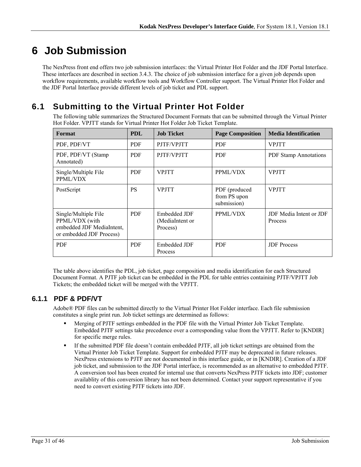# **6 Job Submission**

The NexPress front end offers two job submission interfaces: the Virtual Printer Hot Folder and the JDF Portal Interface. These interfaces are described in section 3.4.3. The choice of job submission interface for a given job depends upon workflow requirements, available workflow tools and Workflow Controller support. The Virtual Printer Hot Folder and the JDF Portal Interface provide different levels of job ticket and PDL support.

## **6.1 Submitting to the Virtual Printer Hot Folder**

The following table summarizes the Structured Document Formats that can be submitted through the Virtual Printer Hot Folder. VPJTT stands for Virtual Printer Hot Folder Job Ticket Template.

| Format                                                                                          | <b>PDL</b> | <b>Job Ticket</b>                           | <b>Page Composition</b>                      | <b>Media Identification</b>               |
|-------------------------------------------------------------------------------------------------|------------|---------------------------------------------|----------------------------------------------|-------------------------------------------|
| PDF, PDF/VT                                                                                     | <b>PDF</b> | PJTF/VPJTT                                  | <b>PDF</b>                                   | <b>VPJTT</b>                              |
| PDF, PDF/VT (Stamp<br>Annotated)                                                                | <b>PDF</b> | PJTF/VPJTT                                  | <b>PDF</b>                                   | <b>PDF Stamp Annotations</b>              |
| Single/Multiple File<br>PPML/VDX                                                                | <b>PDF</b> | <b>VPJTT</b>                                | PPML/VDX                                     | <b>VPJTT</b>                              |
| PostScript                                                                                      | <b>PS</b>  | <b>VPJTT</b>                                | PDF (produced<br>from PS upon<br>submission) | <b>VPJTT</b>                              |
| Single/Multiple File<br>PPML/VDX (with<br>embedded JDF MediaIntent,<br>or embedded JDF Process) | <b>PDF</b> | Embedded JDF<br>(MediaIntent or<br>Process) | PPML/VDX                                     | JDF Media Intent or JDF<br><b>Process</b> |
| <b>PDF</b>                                                                                      | <b>PDF</b> | Embedded JDF<br>Process                     | <b>PDF</b>                                   | <b>JDF</b> Process                        |

The table above identifies the PDL, job ticket, page composition and media identification for each Structured Document Format. A PJTF job ticket can be embedded in the PDL for table entries containing PJTF/VPJTT Job Tickets; the embedded ticket will be merged with the VPJTT.

## **6.1.1 PDF & PDF/VT**

Adobe® PDF files can be submitted directly to the Virtual Printer Hot Folder interface. Each file submission constitutes a single print run. Job ticket settings are determined as follows:

- Merging of PJTF settings embedded in the PDF file with the Virtual Printer Job Ticket Template. Embedded PJTF settings take precedence over a corresponding value from the VPJTT. Refer to [KNDIR] for specific merge rules.
- If the submitted PDF file doesn't contain embedded PJTF, all job ticket settings are obtained from the Virtual Printer Job Ticket Template. Support for embedded PJTF may be deprecated in future releases. NexPress extensions to PJTF are not documented in this interface guide, or in [KNDIR]. Creation of a JDF job ticket, and submission to the JDF Portal interface, is recommended as an alternative to embedded PJTF. A conversion tool has been created for internal use that converts NexPress PJTF tickets into JDF; customer availablity of this conversion library has not been determined. Contact your support representative if you need to convert existing PJTF tickets into JDF.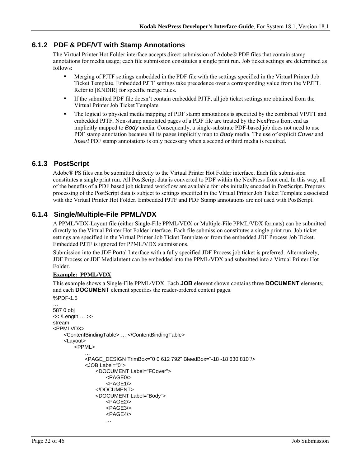### **6.1.2 PDF & PDF/VT with Stamp Annotations**

The Virtual Printer Hot Folder interface accepts direct submission of Adobe® PDF files that contain stamp annotations for media usage; each file submission constitutes a single print run. Job ticket settings are determined as follows:

- Merging of PJTF settings embedded in the PDF file with the settings specified in the Virtual Printer Job Ticket Template. Embedded PJTF settings take precedence over a corresponding value from the VPJTT. Refer to [KNDIR] for specific merge rules.
- If the submitted PDF file doesn't contain embedded PJTF, all job ticket settings are obtained from the Virtual Printer Job Ticket Template.
- The logical to physical media mapping of PDF stamp annotations is specified by the combined VPJTT and embedded PJTF. Non-stamp annotated pages of a PDF file are treated by the NexPress front end as implicitly mapped to *Body* media. Consequently, a single-substrate PDF-based job does not need to use PDF stamp annotation because all its pages implicitly map to *Body* media. The use of explicit *Cover* and *Insert* PDF stamp annotations is only necessary when a second or third media is required.

### **6.1.3 PostScript**

Adobe® PS files can be submitted directly to the Virtual Printer Hot Folder interface. Each file submission constitutes a single print run. All PostScript data is converted to PDF within the NexPress front end. In this way, all of the benefits of a PDF based job ticketed workflow are available for jobs initially encoded in PostScript. Prepress processing of the PostScript data is subject to settings specified in the Virtual Printer Job Ticket Template associated with the Virtual Printer Hot Folder. Embedded PJTF and PDF Stamp annotations are not used with PostScript.

### **6.1.4 Single/Multiple-File PPML/VDX**

A PPML/VDX-Layout file (either Single-File PPML/VDX or Multiple-File PPML/VDX formats) can be submitted directly to the Virtual Printer Hot Folder interface. Each file submission constitutes a single print run. Job ticket settings are specified in the Virtual Printer Job Ticket Template or from the embedded JDF Process Job Ticket. Embedded PJTF is ignored for PPML/VDX submissions.

Submission into the JDF Portal Interface with a fully specified JDF Process job ticket is preferred. Alternatively, JDF Process or JDF MediaIntent can be embedded into the PPML/VDX and submitted into a Virtual Printer Hot Folder.

#### **Example: PPML/VDX**

This example shows a Single-File PPML/VDX. Each **JOB** element shown contains three **DOCUMENT** elements, and each **DOCUMENT** element specifies the reader-ordered content pages.

```
%PDF-1.5 
… 
587 0 obj 
<< /Length … >> 
stream 
<PPMLVDX> 
    <ContentBindingTable> … </ContentBindingTable> 
    <Layout> 
        <PPML> 
            … 
            <PAGE_DESIGN TrimBox="0 0 612 792" BleedBox="-18 -18 630 810"/> 
            <JOB Label="0"> 
                <DOCUMENT Label="FCover"> 
                    <PAGE0/> 
                    <PAGF1/></DOCUMENT> 
                <DOCUMENT Label="Body"> 
                    <PAGE2/> 
                    <PAGE3/> 
                    <PAGE4/> 
                    …
```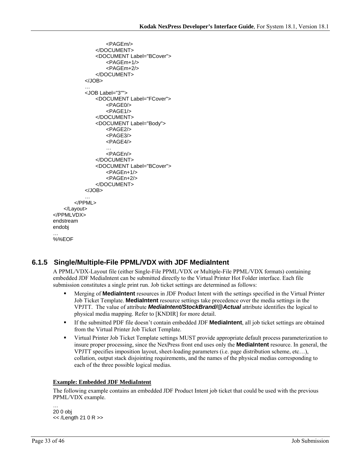```
<PAGEm/> 
               </DOCUMENT> 
               <DOCUMENT Label="BCover"> 
                   <PAGEm+1/> 
                   <PAGEm+2/> 
               </DOCUMENT> 
           </JOB> 
           … 
           <JOB Label="3""> 
               <DOCUMENT Label="FCover"> 
                   <PAGE0/> 
                   <PAGE1/> 
               </DOCUMENT> 
               <DOCUMENT Label="Body"> 
                   <PAGE2/> 
                   <PAGE3/> 
                   <PAGE4/> 
                   … 
                   <PAGEn/> 
               </DOCUMENT> 
               <DOCUMENT Label="BCover"> 
                   <PAGEn+1/> 
                   <PAGEn+2/> 
               </DOCUMENT> 
           </JOB> 
       </PPML> 
    </Layout> 
</PPMLVDX> 
endstream 
endobj 
… 
%%EOF
```
## **6.1.5 Single/Multiple-File PPML/VDX with JDF MediaIntent**

A PPML/VDX-Layout file (either Single-File PPML/VDX or Multiple-File PPML/VDX formats) containing embedded JDF MediaIntent can be submitted directly to the Virtual Printer Hot Folder interface. Each file submission constitutes a single print run. Job ticket settings are determined as follows:

- Merging of **MediaIntent** resources in JDF Product Intent with the settings specified in the Virtual Printer Job Ticket Template. **MediaIntent** resource settings take precedence over the media settings in the VPJTT. The value of attribute *MediaIntent/StockBrand/@Actual* attribute identifies the logical to physical media mapping. Refer to [KNDIR] for more detail.
- If the submitted PDF file doesn't contain embedded JDF **MediaIntent**, all job ticket settings are obtained from the Virtual Printer Job Ticket Template.
- Virtual Printer Job Ticket Template settings MUST provide appropriate default process parameterization to insure proper processing, since the NexPress front end uses only the **MediaIntent** resource. In general, the VPJTT specifies imposition layout, sheet-loading parameters (i.e. page distribution scheme, etc…), collation, output stack disjointing requirements, and the names of the physical medias corresponding to each of the three possible logical medias.

#### **Example: Embedded JDF MediaIntent**

The following example contains an embedded JDF Product Intent job ticket that could be used with the previous PPML/VDX example.

… 20 0 obj << /Length 21 0 R >>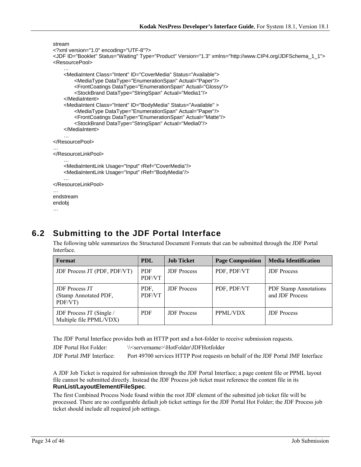```
stream 
<?xml version="1.0" encoding="UTF-8"?> 
<JDF ID="Booklet" Status="Waiting" Type="Product" Version="1.3" xmlns="http://www.CIP4.org/JDFSchema_1_1"> 
<ResourcePool> 
    … 
    <MediaIntent Class="Intent" ID="CoverMedia" Status="Available"> 
        <MediaType DataType="EnumerationSpan" Actual="Paper"/> 
        <FrontCoatings DataType="EnumerationSpan" Actual="Glossy"/> 
        <StockBrand DataType="StringSpan" Actual="Media1"/> 
    </MediaIntent> 
    <MediaIntent Class="Intent" ID="BodyMedia" Status="Available" > 
        <MediaType DataType="EnumerationSpan" Actual="Paper"/> 
        <FrontCoatings DataType="EnumerationSpan" Actual="Matte"/> 
        <StockBrand DataType="StringSpan" Actual="Media0"/> 
    </MediaIntent> 
    … 
</ResourcePool> 
… 
</ResourceLinkPool> 
    … 
    <MediaIntentLink Usage="Input" rRef="CoverMedia"/> 
    <MediaIntentLink Usage="Input" rRef="BodyMedia"/> 
    … 
</ResourceLinkPool> 
… 
endstream 
endobj
```

```
…
```
## **6.2 Submitting to the JDF Portal Interface**

The following table summarizes the Structured Document Formats that can be submitted through the JDF Portal Interface.

| Format                                                    | <b>PDL</b>           | <b>Job Ticket</b>  | <b>Page Composition</b> | <b>Media Identification</b>                     |
|-----------------------------------------------------------|----------------------|--------------------|-------------------------|-------------------------------------------------|
| JDF Process JT (PDF, PDF/VT)                              | <b>PDF</b><br>PDF/VT | <b>JDF</b> Process | PDF, PDF/VT             | <b>JDF</b> Process                              |
| <b>JDF</b> Process JT<br>(Stamp Annotated PDF,<br>PDF/VT) | PDF.<br>PDF/VT       | <b>JDF</b> Process | PDF, PDF/VT             | <b>PDF Stamp Annotations</b><br>and JDF Process |
| JDF Process JT (Single /<br>Multiple file PPML/VDX)       | <b>PDF</b>           | <b>JDF</b> Process | PPML/VDX                | <b>JDF</b> Process                              |

The JDF Portal Interface provides both an HTTP port and a hot-folder to receive submission requests.

JDF Portal Hot Folder: \\<servername>\HotFolder\JDFHotfolder

JDF Portal JMF Interface: Port 49700 services HTTP Post requests on behalf of the JDF Portal JMF Interface

A JDF Job Ticket is required for submission through the JDF Portal Interface; a page content file or PPML layout file cannot be submitted directly. Instead the JDF Process job ticket must reference the content file in its **RunList/LayoutElement/FileSpec**.

The first Combined Process Node found within the root JDF element of the submitted job ticket file will be processed. There are no configurable default job ticket settings for the JDF Portal Hot Folder; the JDF Process job ticket should include all required job settings.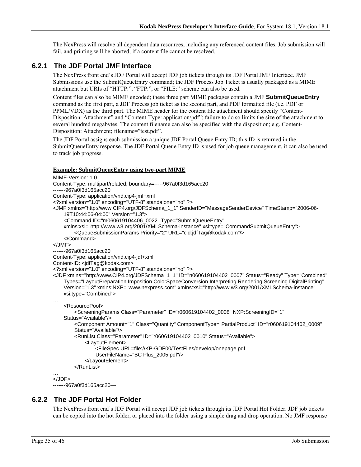The NexPress will resolve all dependent data resources, including any referenced content files. Job submission will fail, and printing will be aborted, if a content file cannot be resolved.

### **6.2.1 The JDF Portal JMF Interface**

The NexPress front end's JDF Portal will accept JDF job tickets through its JDF Portal JMF Interface. JMF Submissions use the SubmitQueueEntry command; the JDF Process Job Ticket is usually packaged as a MIME attachment but URIs of "HTTP:", "FTP:", or "FILE:" scheme can also be used.

Content files can also be MIME encoded; these three part MIME packages contain a JMF **SubmitQueueEntry** command as the first part, a JDF Process job ticket as the second part, and PDF formatted file (i.e. PDF or PPML/VDX) as the third part. The MIME header for the content file attachment should specify "Content-Disposition: Attachment" and "Content-Type: application/pdf"; failure to do so limits the size of the attachment to several hundred megabytes. The content filename can also be specified with the disposition; e.g. Content-Disposition: Attachment; filename="test.pdf".

The JDF Portal assigns each submission a unique JDF Portal Queue Entry ID; this ID is returned in the SubmitQueueEntry response. The JDF Portal Queue Entry ID is used for job queue management, it can also be used to track job progress.

#### **Example: SubmitQueueEntry using two-part MIME**

```
MIME-Version: 1.0 
Content-Type: multipart/related; boundary=-----967a0f3d165acc20 
-------967a0f3d165acc20 
Content-Type: application/vnd.cip4-jmf+xml 
<?xml version="1.0" encoding="UTF-8" standalone="no" ?> 
<JMF xmlns="http://www.CIP4.org/JDFSchema_1_1" SenderID="MessageSenderDevice" TimeStamp="2006-06-
    19T10:44:06-04:00" Version="1.3"> 
     <Command ID="m060619104406_0022" Type="SubmitQueueEntry" 
    xmlns:xsi="http://www.w3.org/2001/XMLSchema-instance" xsi:type="CommandSubmitQueueEntry"> 
         <QueueSubmissionParams Priority="2" URL="cid:jdfTag@kodak.com"/> 
     </Command> 
</JMF> 
-------967a0f3d165acc20 
Content-Type: application/vnd.cip4-jdf+xml 
Content-ID: <jdfTag@kodak.com>
<?xml version="1.0" encoding="UTF-8" standalone="no" ?> 
<JDF xmlns="http://www.CIP4.org/JDFSchema_1_1" ID="n060619104402_0007" Status="Ready" Type="Combined" 
    Types="LayoutPreparation Imposition ColorSpaceConversion Interpreting Rendering Screening DigitalPrinting" 
    Version="1.3" xmlns:NXP="www.nexpress.com" xmlns:xsi="http://www.w3.org/2001/XMLSchema-instance" 
    xsi:type="Combined"> 
… 
     <ResourcePool> 
         <ScreeningParams Class="Parameter" ID="r060619104402_0008" NXP:ScreeningID="1" 
    Status="Available"/> 
        <Component Amount="1" Class="Quantity" ComponentType="PartialProduct" ID="r060619104402_0009" 
        Status="Available"/> 
         <RunList Class="Parameter" ID="r060619104402_0010" Status="Available"> 
             <LayoutElement> 
                 <FileSpec URL=file://KP-GDF00/TestFiles/develop/onepage.pdf 
                UserFileName="BC Plus_2005.pdf"/> 
             </LayoutElement> 
         </RunList> 
… 
</JDF> 
-------967a0f3d165acc20—
```
### **6.2.2 The JDF Portal Hot Folder**

The NexPress front end's JDF Portal will accept JDF job tickets through its JDF Portal Hot Folder. JDF job tickets can be copied into the hot folder, or placed into the folder using a simple drag and drop operation. No JMF response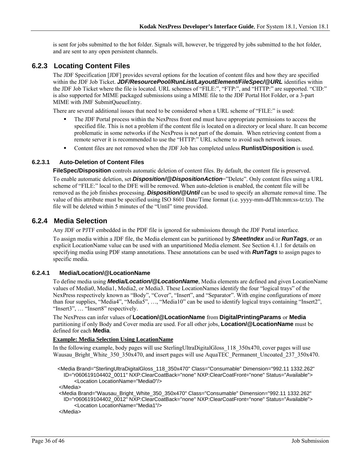is sent for jobs submitted to the hot folder. Signals will, however, be triggered by jobs submitted to the hot folder, and are sent to any open persistent channels.

### **6.2.3 Locating Content Files**

The JDF Specification [JDF] provides several options for the location of content files and how they are specified within the JDF Job Ticket. *JDF/ResourcePool/RunList/LayoutElement/FileSpec/@URL* identifies within the JDF Job Ticket where the file is located. URL schemes of "FILE:", "FTP:", and "HTTP:" are supported. "CID:" is also supported for MIME packaged submissions using a MIME file to the JDF Portal Hot Folder, or a 3-part MIME with JMF SubmitQueueEntry.

There are several additional issues that need to be considered when a URL scheme of "FILE:" is used:

- The JDF Portal process within the NexPress front end must have appropriate permissions to access the specified file. This is not a problem if the content file is located on a directory or local share. It can become problematic in some networks if the NexPress is not part of the domain. When retrieving content from a remote server it is recommended to use the "HTTP:" URL scheme to avoid such network issues.
- Content files are not removed when the JDF Job has completed unless **Runlist/Disposition** is used.

#### **6.2.3.1 Auto-Deletion of Content Files**

**FileSpec/Disposition** controls automatic deletion of content files. By default, the content file is preserved.

To enable automatic deletion, set *Disposition/@DispositionAction*="Delete". Only content files using a URL scheme of "FILE:" local to the DFE will be removed. When auto-deletion is enabled, the content file will be removed as the job finishes processing. *Disposition/@Until* can be used to specify an alternate removal time. The value of this attribute must be specified using ISO 8601 Date/Time format (i.e. yyyy-mm-ddThh:mm:ss-tz:tz). The file will be deleted within 5 minutes of the "Until" time provided.

#### **6.2.4 Media Selection**

Any JDF or PJTF embedded in the PDF file is ignored for submissions through the JDF Portal interface.

To assign media within a JDF file, the Media element can be partitioned by *SheetIndex* and/or *RunTags*, or an explicit LocationName value can be used with an unpartitioned Media element. See Section 4.1.1 for details on specifying media using PDF stamp annotations. These annotations can be used with *RunTags* to assign pages to specific media.

#### **6.2.4.1 Media/Location/@LocationName**

To define media using *Media/Location/@LocationName*, Media elements are defined and given LocationName values of Media0, Media1, Media2, or Media3. These LocationNames identify the four "logical trays" of the NexPress respectively known as "Body", "Cover", "Insert", and "Separator". With engine configurations of more than four supplies, "Media4", "Media5", …, "Media10" can be used to identify logical trays containing "Insert2", "Insert3", ... "Insert8" respectively.

The NexPress can infer values of **Location/@LocationName** from **DigitalPrintingParams** or **Media** partitioning if only Body and Cover media are used. For all other jobs, **Location/@LocationName** must be defined for each **Media**.

#### **Example: Media Selection Using LocationName**

In the following example, body pages will use SterlingUltraDigitalGloss\_118\_350x470, cover pages will use Wausau\_Bright\_White\_350\_350x470, and insert pages will use AquaTEC\_Permanent\_Uncoated\_237\_350x470.

 <Media Brand="SterlingUltraDigitalGloss\_118\_350x470" Class="Consumable" Dimension="992.11 1332.262" ID="r060619104402\_0011" NXP:ClearCoatBack="none" NXP:ClearCoatFront="none" Status="Available"> <Location LocationName="Media0"/>

</Media>

 <Media Brand="Wausau\_Bright\_White\_350\_350x470" Class="Consumable" Dimension="992.11 1332.262" ID="r060619104402\_0012" NXP:ClearCoatBack="none" NXP:ClearCoatFront="none" Status="Available"> <Location LocationName="Media1"/>

</Media>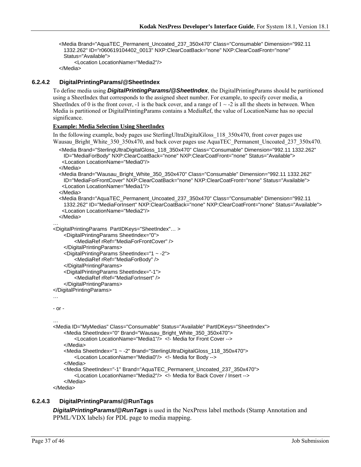<Media Brand="AquaTEC\_Permanent\_Uncoated\_237\_350x470" Class="Consumable" Dimension="992.11 1332.262" ID="r060619104402\_0013" NXP:ClearCoatBack="none" NXP:ClearCoatFront="none" Status="Available"> <Location LocationName="Media2"/>

</Media>

#### **6.2.4.2 DigitalPrintingParams/@SheetIndex**

To define media using *DigitalPrintingParams/@SheetIndex*, the DigitalPrintingParams should be partitioned using a SheetIndex that corresponds to the assigned sheet number. For example, to specify cover media, a SheetIndex of 0 is the front cover, -1 is the back cover, and a range of  $1 \sim -2$  is all the sheets in between. When Media is partitioned or DigitalPrintingParams contains a MediaRef, the value of LocationName has no special significance.

#### **Example: Media Selection Using SheetIndex**

In the following example, body pages use SterlingUltraDigitalGloss\_118\_350x470, front cover pages use Wausau\_Bright\_White\_350\_350x470, and back cover pages use AquaTEC\_Permanent\_Uncoated\_237\_350x470.

```
 <Media Brand="SterlingUltraDigitalGloss_118_350x470" Class="Consumable" Dimension="992.11 1332.262" 
 ID="MediaForBody" NXP:ClearCoatBack="none" NXP:ClearCoatFront="none" Status="Available"> 
  <Location LocationName="Media0"/>
```
</Media>

```
 <Media Brand="Wausau_Bright_White_350_350x470" Class="Consumable" Dimension="992.11 1332.262" 
 ID="MediaForFrontCover" NXP:ClearCoatBack="none" NXP:ClearCoatFront="none" Status="Available"> 
  <Location LocationName="Media1"/>
```
</Media>

```
 <Media Brand="AquaTEC_Permanent_Uncoated_237_350x470" Class="Consumable" Dimension="992.11 
 1332.262" ID="MediaForInsert" NXP:ClearCoatBack="none" NXP:ClearCoatFront="none" Status="Available"> 
  <Location LocationName="Media2"/>
```
</Media>

```
… 
<DigitalPrintingParams PartIDKeys="SheetIndex"… >
```

```
<DigitalPrintingParams SheetIndex="0">
```
<MediaRef rRef="MediaForFrontCover" />

```
</DigitalPrintingParams>
```

```
<DigitalPrintingParams SheetIndex="1 ~ -2"> 
    <MediaRef rRef="MediaForBody" />
```

```
</DigitalPrintingParams>
```

```
<DigitalPrintingParams SheetIndex="-1">
```

```
<MediaRef rRef="MediaForInsert" />
```

```
</DigitalPrintingParams>
```

```
</DigitalPrintingParams>
```

```
…
```

```
- or -
```
…

```
<Media ID="MyMedias" Class="Consumable" Status="Available" PartIDKeys="SheetIndex"> 
    <Media SheetIndex="0" Brand="Wausau_Bright_White_350_350x470"> 
        <Location LocationName="Media1"/> <!- Media for Front Cover --> 
    </Media> 
    <Media SheetIndex="1 ~ -2" Brand="SterlingUltraDigitalGloss_118_350x470"> 
        <Location LocationName="Media0"/> <!- Media for Body --> 
    </Media> 
    <Media SheetIndex="-1" Brand="AquaTEC_Permanent_Uncoated_237_350x470"> 
        <Location LocationName="Media2"/> <!- Media for Back Cover / Insert --> 
    </Media>
```
</Media>

#### **6.2.4.3 DigitalPrintingParams/@RunTags**

*DigitalPrintingParams/@RunTags* is used in the NexPress label methods (Stamp Annotation and PPML/VDX labels) for PDL page to media mapping.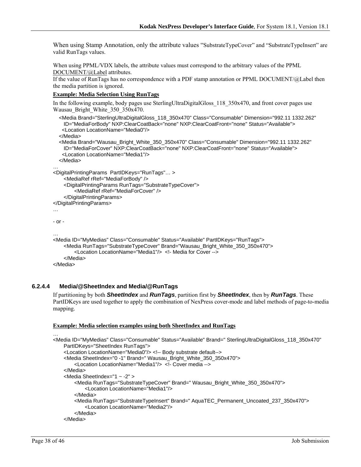When using Stamp Annotation, only the attribute values "SubstrateTypeCover" and "SubstrateTypeInsert" are valid RunTags values.

When using PPML/VDX labels, the attribute values must correspond to the arbitrary values of the PPML DOCUMENT/@Label attributes.

If the value of RunTags has no correspondence with a PDF stamp annotation or PPML DOCUMENT/@Label then the media partition is ignored.

#### **Example: Media Selection Using RunTags**

In the following example, body pages use SterlingUltraDigitalGloss 118 350x470, and front cover pages use Wausau Bright White 350 350x470.

```
 <Media Brand="SterlingUltraDigitalGloss_118_350x470" Class="Consumable" Dimension="992.11 1332.262" 
    ID="MediaForBody" NXP:ClearCoatBack="none" NXP:ClearCoatFront="none" Status="Available"> 
    <Location LocationName="Media0"/> 
   </Media> 
   <Media Brand="Wausau_Bright_White_350_350x470" Class="Consumable" Dimension="992.11 1332.262" 
    ID="MediaForCover" NXP:ClearCoatBack="none" NXP:ClearCoatFront="none" Status="Available"> 
    <Location LocationName="Media1"/> 
   </Media> 
… 
<DigitalPrintingParams PartIDKeys="RunTags"… > 
    <MediaRef rRef="MediaForBody" /> 
    <DigitalPrintingParams RunTags="SubstrateTypeCover"> 
        <MediaRef rRef="MediaForCover" /> 
    </DigitalPrintingParams> 
</DigitalPrintingParams> 
… 
- or - 
… 
<Media ID="MyMedias" Class="Consumable" Status="Available" PartIDKeys="RunTags"> 
    <Media RunTags="SubstrateTypeCover" Brand="Wausau_Bright_White_350_350x470"> 
        <Location LocationName="Media1"/> <!- Media for Cover --> 
    </Media> 
</Media>
```
#### **6.2.4.4 Media/@SheetIndex and Media/@RunTags**

If partitioning by both *SheetIndex* and *RunTags*, partition first by *SheetIndex*, then by *RunTags*. These PartIDKeys are used together to apply the combination of NexPress cover-mode and label methods of page-to-media mapping.

#### **Example: Media selection examples using both SheetIndex and RunTags**

```
<Media ID="MyMedias" Class="Consumable" Status="Available" Brand=" SterlingUltraDigitalGloss_118_350x470" 
    PartIDKeys="SheetIndex RunTags"> 
    <Location LocationName="Media0"/> <!-- Body substrate default--> 
    <Media SheetIndex="0 -1" Brand=" Wausau_Bright_White_350_350x470"> 
        <Location LocationName="Media1"/> <!- Cover media --> 
    </Media> 
    <Media SheetIndex="1 ~ -2" > 
        <Media RunTags="SubstrateTypeCover" Brand=" Wausau_Bright_White_350_350x470"> 
            <Location LocationName="Media1"/> 
        </Media> 
        <Media RunTags="SubstrateTypeInsert" Brand=" AquaTEC_Permanent_Uncoated_237_350x470"> 
            <Location LocationName="Media2"/> 
        </Media> 
    </Media>
```
…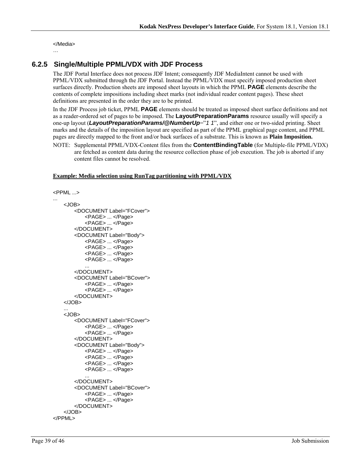</Media>

#### …

### **6.2.5 Single/Multiple PPML/VDX with JDF Process**

The JDF Portal Interface does not process JDF Intent; consequently JDF MediaIntent cannot be used with PPML/VDX submitted through the JDF Portal. Instead the PPML/VDX must specify imposed production sheet surfaces directly. Production sheets are imposed sheet layouts in which the PPML **PAGE** elements describe the contents of complete impositions including sheet marks (not individual reader content pages). These sheet definitions are presented in the order they are to be printed.

In the JDF Process job ticket, PPML **PAGE** elements should be treated as imposed sheet surface definitions and not as a reader-ordered set of pages to be imposed. The **LayoutPreparationParams** resource usually will specify a one-up layout (*LayoutPreparationParams/@NumberUp*="1 1", and either one or two-sided printing. Sheet marks and the details of the imposition layout are specified as part of the PPML graphical page content, and PPML pages are directly mapped to the front and/or back surfaces of a substrate. This is known as **Plain Imposition.**

NOTE: Supplemental PPML/VDX-Content files from the **ContentBindingTable** (for Multiple-file PPML/VDX) are fetched as content data during the resource collection phase of job execution. The job is aborted if any content files cannot be resolved.

#### **Example: Media selection using RunTag partitioning with PPML/VDX**

```
<PPML ...> 
... 
    <JOB> 
        <DOCUMENT Label="FCover"> 
            <PAGE> ... </Page> 
            <PAGE> ... </Page> 
        </DOCUMENT> 
        <DOCUMENT Label="Body"> 
            <PAGE> ... </Page> 
            <PAGE> ... </Page> 
            <PAGE> ... </Page> 
            <PAGE> ... </Page> 
            ... 
        </DOCUMENT> 
        <DOCUMENT Label="BCover"> 
            <PAGE> ... </Page> 
            <PAGE> ... </Page> 
        </DOCUMENT> 
    </JOB> 
    ... 
    <JOB> 
        <DOCUMENT Label="FCover"> 
            <PAGE> ... </Page> 
            <PAGE> ... </Page> 
        </DOCUMENT> 
        <DOCUMENT Label="Body"> 
            <PAGE> ... </Page> 
            <PAGE> ... </Page> 
            <PAGE> ... </Page> 
            <PAGE> ... </Page> 
            ... 
        </DOCUMENT> 
        <DOCUMENT Label="BCover"> 
            <PAGE> ... </Page> 
            <PAGE> ... </Page> 
        </DOCUMENT> 
    </JOB> 
</PPML>
```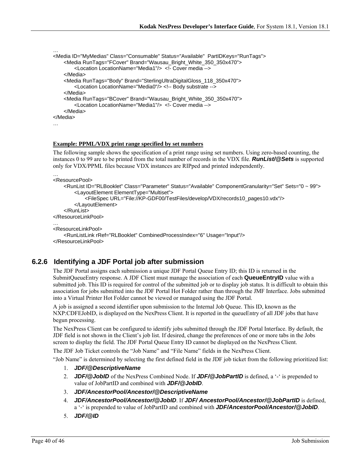```
<Media ID="MyMedias" Class="Consumable" Status="Available" PartIDKeys="RunTags"> 
    <Media RunTags="FCover" Brand="Wausau_Bright_White_350_350x470"> 
        <Location LocationName="Media1"/> <!- Cover media --> 
    </Media> 
    <Media RunTags="Body" Brand="SterlingUltraDigitalGloss_118_350x470"> 
        <Location LocationName="Media0"/> <!-- Body substrate --> 
    </Media> 
    <Media RunTags="BCover" Brand="Wausau_Bright_White_350_350x470"> 
        <Location LocationName="Media1"/> <!- Cover media --> 
    </Media> 
</Media> 
…
```
#### **Example: PPML/VDX print range specified by set numbers**

The following sample shows the specification of a print range using set numbers. Using zero-based counting, the instances 0 to 99 are to be printed from the total number of records in the VDX file. *RunList/@Sets* is supported only for VDX/PPML files because VDX instances are RIPped and printed independently.

```
… 
<ResourcePool>
```
…

```
<RunList ID="RLBooklet" Class="Parameter" Status="Available" ComponentGranularity="Set" Sets="0 ~ 99"> 
        <LayoutElement ElementType="Multiset"> 
            <FileSpec URL="File://KP-GDF00/TestFiles/develop/VDX/records10_pages10.vdx"/> 
        </LayoutElement> 
    </RunList> 
</ResourceLinkPool> 
… 
<ResourceLinkPool> 
    <RunListLink rRef="RLBooklet" CombinedProcessIndex="6" Usage="Input"/> 
</ResourceLinkPool>
```
### **6.2.6 Identifying a JDF Portal job after submission**

The JDF Portal assigns each submission a unique JDF Portal Queue Entry ID; this ID is returned in the SubmitQueueEntry response. A JDF Client must manage the association of each **QueueEntryID** value with a submitted job. This ID is required for control of the submitted job or to display job status. It is difficult to obtain this association for jobs submitted into the JDF Portal Hot Folder rather than through the JMF Interface. Jobs submitted into a Virtual Printer Hot Folder cannot be viewed or managed using the JDF Portal.

A job is assigned a second identifier upon submission to the Internal Job Queue. This ID, known as the NXP:CDFEJobID, is displayed on the NexPress Client. It is reported in the queueEntry of all JDF jobs that have begun processing.

The NexPress Client can be configured to identify jobs submitted through the JDF Portal Interface. By default, the JDF field is not shown in the Client's job list. If desired, change the preferences of one or more tabs in the Jobs screen to display the field. The JDF Portal Queue Entry ID cannot be displayed on the NexPress Client.

The JDF Job Ticket controls the "Job Name" and "File Name" fields in the NexPress Client.

"Job Name" is determined by selecting the first defined field in the JDF job ticket from the following prioritized list:

- 1. *JDF/@DescriptiveName*
- 2. *JDF/@JobID* of the NexPress Combined Node. If *JDF/@JobPartID* is defined, a '-' is prepended to value of JobPartID and combined with *JDF/@JobID*.
- 3. *JDF/AncestorPool/Ancestor/@DescriptiveName*
- 4. *JDF/AncestorPool/Ancestor/@JobID*. If *JDF/ AncestorPool/Ancestor/@JobPartID* is defined, a '-' is prepended to value of JobPartID and combined with *JDF/AncestorPool/Ancestor/@JobID*.
- 5. *JDF/@ID*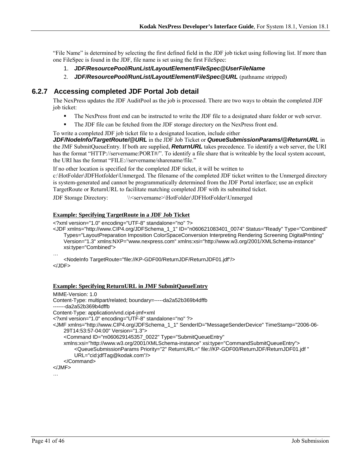"File Name" is determined by selecting the first defined field in the JDF job ticket using following list. If more than one FileSpec is found in the JDF, file name is set using the first FileSpec:

- 1. *JDF/ResourcePool/RunList/LayoutElement/FileSpec@UserFileName*
- 2. *JDF/ResourcePool/RunList/LayoutElement/FileSpec@URL* (pathname stripped)

### **6.2.7 Accessing completed JDF Portal Job detail**

The NexPress updates the JDF AuditPool as the job is processed. There are two ways to obtain the completed JDF job ticket:

- The NexPress front end can be instructed to write the JDF file to a designated share folder or web server.
- The JDF file can be fetched from the JDF storage directory on the NexPress front end.
- To write a completed JDF job ticket file to a designated location, include either

*JDF/NodeInfo/TargetRoute/@URL* in the JDF Job Ticket or *QueueSubmissionParams/@ReturnURL* in the JMF SubmitQueueEntry. If both are supplied, *ReturnURL* takes precedence. To identify a web server, the URI has the format "HTTP://servername:PORT#/". To identify a file share that is writeable by the local system account, the URI has the format "FILE://servername/sharename/file."

If no other location is specified for the completed JDF ticket, it will be written to

c:\HotFolder\JDFHotfolder\Unmerged. The filename of the completed JDF ticket written to the Unmerged directory is system-generated and cannot be programmatically determined from the JDF Portal interface; use an explicit TargetRoute or ReturnURL to facilitate matching completed JDF with its submitted ticket.

JDF Storage Directory: \\<servername>\HotFolder\JDFHotFolder\Unmerged

#### **Example: Specifying TargetRoute in a JDF Job Ticket**

<?xml version="1.0" encoding="UTF-8" standalone="no" ?>

<JDF xmlns="http://www.CIP4.org/JDFSchema\_1\_1" ID="n060621083401\_0074" Status="Ready" Type="Combined" Types="LayoutPreparation Imposition ColorSpaceConversion Interpreting Rendering Screening DigitalPrinting" Version="1.3" xmlns:NXP="www.nexpress.com" xmlns:xsi="http://www.w3.org/2001/XMLSchema-instance" xsi:type="Combined">

…

<NodeInfo TargetRoute="file://KP-GDF00/ReturnJDF/ReturnJDF01.jdf"/> </JDF>

#### **Example: Specifying ReturnURL in JMF SubmitQueueEntry**

MIME-Version: 1.0 Content-Type: multipart/related; boundary=-----da2a52b369b4dffb -------da2a52b369b4dffb Content-Type: application/vnd.cip4-jmf+xml <?xml version="1.0" encoding="UTF-8" standalone="no" ?> <JMF xmlns="http://www.CIP4.org/JDFSchema\_1\_1" SenderID="MessageSenderDevice" TimeStamp="2006-06- 29T14:53:57-04:00" Version="1.3"> <Command ID="m060629145357\_0022" Type="SubmitQueueEntry" xmlns:xsi="http://www.w3.org/2001/XMLSchema-instance" xsi:type="CommandSubmitQueueEntry"> <QueueSubmissionParams Priority="2" ReturnURL=" file://KP-GDF00/ReturnJDF/ReturnJDF01.jdf " URL="cid:jdfTag@kodak.com"/> </Command> </JMF>

…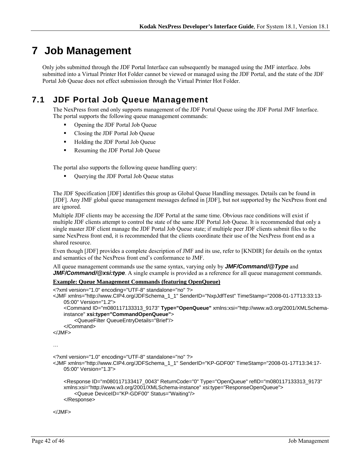# **7 Job Management**

Only jobs submitted through the JDF Portal Interface can subsequently be managed using the JMF interface. Jobs submitted into a Virtual Printer Hot Folder cannot be viewed or managed using the JDF Portal, and the state of the JDF Portal Job Queue does not effect submission through the Virtual Printer Hot Folder.

## **7.1 JDF Portal Job Queue Management**

The NexPress front end only supports management of the JDF Portal Queue using the JDF Portal JMF Interface. The portal supports the following queue management commands:

- Opening the JDF Portal Job Queue
- Closing the JDF Portal Job Queue
- Holding the JDF Portal Job Queue
- Resuming the JDF Portal Job Queue

The portal also supports the following queue handling query:

Querying the JDF Portal Job Queue status

The JDF Specification [JDF] identifies this group as Global Queue Handling messages. Details can be found in [JDF]. Any JMF global queue management messages defined in [JDF], but not supported by the NexPress front end are ignored.

Multiple JDF clients may be accessing the JDF Portal at the same time. Obvious race conditions will exist if multiple JDF clients attempt to control the state of the same JDF Portal Job Queue. It is recommended that only a single master JDF client manage the JDF Portal Job Queue state; if multiple peer JDF clients submit files to the same NexPress front end, it is recommended that the clients coordinate their use of the NexPress front end as a shared resource.

Even though [JDF] provides a complete description of JMF and its use, refer to [KNDIR] for details on the syntax and semantics of the NexPress front end's conformance to JMF.

All queue management commands use the same syntax, varying only by *JMF/Command/@Type* and *JMF/Command/@xsi:type*. A single example is provided as a reference for all queue management commands.

#### **Example: Queue Management Commands (featuring OpenQueue)**

```
<?xml version="1.0" encoding="UTF-8" standalone="no" ?> 
<JMF xmlns="http://www.CIP4.org/JDFSchema_1_1" SenderID="NxpJdfTest" TimeStamp="2008-01-17T13:33:13-
    05:00" Version="1.2"> 
     <Command ID="m080117133313_9173" Type="OpenQueue" xmlns:xsi="http://www.w3.org/2001/XMLSchema-
    instance" xsi:type="CommandOpenQueue"> 
         <QueueFilter QueueEntryDetails="Brief"/> 
     </Command> 
</JMF> 
… 
<?xml version="1.0" encoding="UTF-8" standalone="no" ?> 
<JMF xmlns="http://www.CIP4.org/JDFSchema_1_1" SenderID="KP-GDF00" TimeStamp="2008-01-17T13:34:17-
    05:00" Version="1.3"> 
     <Response ID="m080117133417_0043" ReturnCode="0" Type="OpenQueue" refID="m080117133313_9173" 
    xmlns:xsi="http://www.w3.org/2001/XMLSchema-instance" xsi:type="ResponseOpenQueue"> 
         <Queue DeviceID="KP-GDF00" Status="Waiting"/> 
     </Response>
```
</JMF>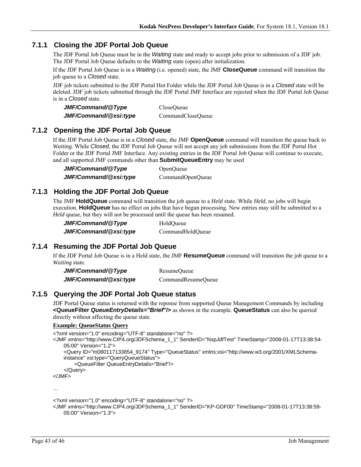### **7.1.1 Closing the JDF Portal Job Queue**

The JDF Portal Job Queue must be in the *Waiting* state and ready to accept jobs prior to submission of a JDF job. The JDF Portal Job Queue defaults to the *Waiting* state (open) after initialization.

If the JDF Portal Job Queue is in a *Waiting* (i.e. opened) state, the JMF **CloseQueue** command will transition the job queue to a *Closed* state.

JDF job tickets submitted to the JDF Portal Hot Folder while the JDF Portal Job Queue is in a *Closed* state will be deleted. JDF job tickets submitted through the JDF Portal JMF Interface are rejected when the JDF Portal Job Queue is in a *Closed* state.

| JMF/Command/@Type     | CloseOueue        |
|-----------------------|-------------------|
| JMF/Command/@xsi:type | CommandCloseQueue |

### **7.1.2 Opening the JDF Portal Job Queue**

If the JDF Portal Job Queue is in a *Closed* state, the JMF **OpenQueue** command will transition the queue back to *Waiting*. While *Closed*, the JDF Portal Job Queue will not accept any job submissions from the JDF Portal Hot Folder or the JDF Portal JMF Interface. Any existing entries in the JDF Portal Job Queue will continue to execute, and all supported JMF commands other than **SubmitQueueEntry** may be used

*JMF/Command/@Type* OpenQueue *JMF/Command/@xsi:type*CommandOpenQueue

### **7.1.3 Holding the JDF Portal Job Queue**

The JMF **HoldQueue** command will transition the job queue to a *Held* state. While *Held*, no jobs will begin execution. **HoldQueue** has no effect on jobs that have begun processing. New entries may still be submitted to a *Held* queue, but they will not be processed until the queue has been resumed.

| JMF/Command/@Type     | HoldOueue        |
|-----------------------|------------------|
| JMF/Command/@xsi:type | CommandHoldQueue |

### **7.1.4 Resuming the JDF Portal Job Queue**

If the JDF Portal Job Queue is in a Held state, the JMF **ResumeQueue** command will transition the job queue to a *Waiting* state.

| JMF/Command/@Type     | ResumeQueue        |
|-----------------------|--------------------|
| JMF/Command/@xsi:type | CommandResumeQueue |

### **7.1.5 Querying the JDF Portal Job Queue status**

JDF Portal Queue status is returned with the reponse from supported Queue Management Commands by including **<QueueFilter** *QueueEntryDetails="Brief***"/>** as shown in the example. **QueueStatus** can also be queried directly without affecting the queue state.

#### **Example: QueueStatus Query**

```
<?xml version="1.0" encoding="UTF-8" standalone="no" ?> 
<JMF xmlns="http://www.CIP4.org/JDFSchema_1_1" SenderID="NxpJdfTest" TimeStamp="2008-01-17T13:38:54-
    05:00" Version="1.2"> 
     <Query ID="m080117133854_9174" Type="QueueStatus" xmlns:xsi="http://www.w3.org/2001/XMLSchema-
    instance" xsi:type="QueryQueueStatus"> 
         <QueueFilter QueueEntryDetails="Brief"/> 
     </Query> 
</JMF>
```
…

```
<?xml version="1.0" encoding="UTF-8" standalone="no" ?>
```

```
<JMF xmlns="http://www.CIP4.org/JDFSchema_1_1" SenderID="KP-GDF00" TimeStamp="2008-01-17T13:38:59-
   05:00" Version="1.3">
```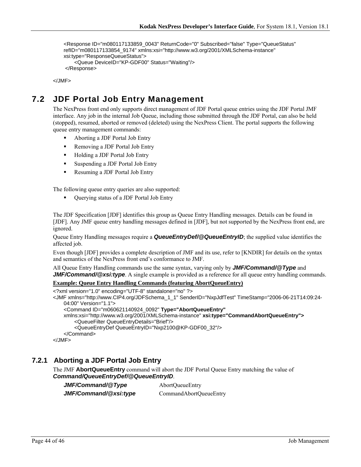```
 <Response ID="m080117133859_0043" ReturnCode="0" Subscribed="false" Type="QueueStatus" 
refID="m080117133854_9174" xmlns:xsi="http://www.w3.org/2001/XMLSchema-instance" 
xsi:type="ResponseQueueStatus"> 
     <Queue DeviceID="KP-GDF00" Status="Waiting"/> 
 </Response>
```
</JMF>

## **7.2 JDF Portal Job Entry Management**

The NexPress front end only supports direct management of JDF Portal queue entries using the JDF Portal JMF interface. Any job in the internal Job Queue, including those submitted through the JDF Portal, can also be held (stopped), resumed, aborted or removed (deleted) using the NexPress Client. The portal supports the following queue entry management commands:

- Aborting a JDF Portal Job Entry
- Removing a JDF Portal Job Entry
- Holding a JDF Portal Job Entry
- Suspending a JDF Portal Job Entry
- Resuming a JDF Portal Job Entry

The following queue entry queries are also supported:

Querying status of a JDF Portal Job Entry

The JDF Specification [JDF] identifies this group as Queue Entry Handling messages. Details can be found in [JDF]. Any JMF queue entry handling messages defined in [JDF], but not supported by the NexPress front end, are ignored.

Queue Entry Handling messages require a *QueueEntryDef/@QueueEntryID*; the supplied value identifies the affected job.

Even though [JDF] provides a complete description of JMF and its use, refer to [KNDIR] for details on the syntax and semantics of the NexPress front end's conformance to JMF.

All Queue Entry Handling commands use the same syntax, varying only by *JMF/Command/@Type* and *JMF/Command/@xsi:type.* A single example is provided as a reference for all queue entry handling commands.

#### **Example: Queue Entry Handling Commands (featuring AbortQueueEntry)**

```
<?xml version="1.0" encoding="UTF-8" standalone="no" ?> 
<JMF xmlns="http://www.CIP4.org/JDFSchema_1_1" SenderID="NxpJdfTest" TimeStamp="2006-06-21T14:09:24-
   04:00" Version="1.1"> 
     <Command ID="m060621140924_0092" Type="AbortQueueEntry"
   xmlns:xsi="http://www.w3.org/2001/XMLSchema-instance" xsi:type="CommandAbortQueueEntry">
         <QueueFilter QueueEntryDetails="Brief"/> 
         <QueueEntryDef QueueEntryID="Nxp2100@KP-GDF00_32"/> 
     </Command> 
</JMF>
```
### **7.2.1 Aborting a JDF Portal Job Entry**

The JMF **AbortQueueEntry** command will abort the JDF Portal Queue Entry matching the value of *Command/QueueEntryDef/@QueueEntryID*.

*JMF/Command/@Type*AbortQueueEntry

*JMF/Command/@xsi:type*CommandAbortQueueEntry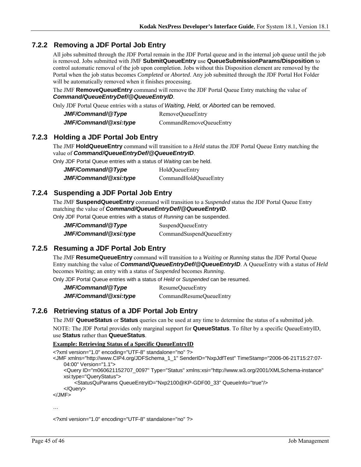### **7.2.2 Removing a JDF Portal Job Entry**

All jobs submitted through the JDF Portal remain in the JDF Portal queue and in the internal job queue until the job is removed. Jobs submitted with JMF **SubmitQueueEntry** use **QueueSubmissionParams/Disposition** to control automatic removal of the job upon completion. Jobs without this Disposition element are removed by the Portal when the job status becomes *Completed* or *Aborted*. Any job submitted through the JDF Portal Hot Folder will be automatically removed when it finishes processing.

The JMF **RemoveQueueEntry** command will remove the JDF Portal Queue Entry matching the value of *Command/QueueEntryDef/@QueueEntryID*.

Only JDF Portal Queue entries with a status of *Waiting, Held,* or *Aborted* can be removed.

| JMF/Command/@Type     | RemoveQueueEntry        |
|-----------------------|-------------------------|
| JMF/Command/@xsi:type | CommandRemoveQueueEntry |

### **7.2.3 Holding a JDF Portal Job Entry**

The JMF **HoldQueueEntry** command will transition to a *Held* status the JDF Portal Queue Entry matching the value of *Command/QueueEntryDef/@QueueEntryID*.

Only JDF Portal Queue entries with a status of *Waiting* can be held.

| JMF/Command/@Type     | HoldQueueEntry        |
|-----------------------|-----------------------|
| JMF/Command/@xsi:type | CommandHoldQueueEntry |

### **7.2.4 Suspending a JDF Portal Job Entry**

The JMF **SuspendQueueEntry** command will transition to a *Suspended* status the JDF Portal Queue Entry matching the value of *Command/QueueEntryDef/@QueueEntryID*.

Only JDF Portal Queue entries with a status of *Running* can be suspended.

| JMF/Command/@Type     | SuspendQueueEntry        |
|-----------------------|--------------------------|
| JMF/Command/@xsi:type | CommandSuspendQueueEntry |

### **7.2.5 Resuming a JDF Portal Job Entry**

The JMF **ResumeQueueEntry** command will transition to a *Waiting* or *Running* status the JDF Portal Queue Entry matching the value of *Command/QueueEntryDef/@QueueEntryID*. A QueueEntry with a status of *Held* becomes *Waiting*; an entry with a status of *Suspended* becomes *Running*.

Only JDF Portal Queue entries with a status of *Held* or *Suspended* can be resumed.

*JMF/Command/@Type*ResumeQueueEntry *JMF/Command/@xsi:type*CommandResumeQueueEntry

### **7.2.6 Retrieving status of a JDF Portal Job Entry**

The JMF **QueueStatus** or **Status** queries can be used at any time to determine the status of a submitted job.

NOTE: The JDF Portal provides only marginal support for **QueueStatus**. To filter by a specific QueueEntryID, use **Status** rather than **QueueStatus**.

#### **Example: Retrieving Status of a Specific QueueEntryID**

<?xml version="1.0" encoding="UTF-8" standalone="no" ?>

- <JMF xmlns="http://www.CIP4.org/JDFSchema\_1\_1" SenderID="NxpJdfTest" TimeStamp="2006-06-21T15:27:07- 04:00" Version="1.1">
	- <Query ID="m060621152707\_0097" Type="Status" xmlns:xsi="http://www.w3.org/2001/XMLSchema-instance" xsi:type="QueryStatus">

<StatusQuParams QueueEntryID="Nxp2100@KP-GDF00\_33" QueueInfo="true"/>

```
 </Query>
```
</JMF>

…

<?xml version="1.0" encoding="UTF-8" standalone="no" ?>